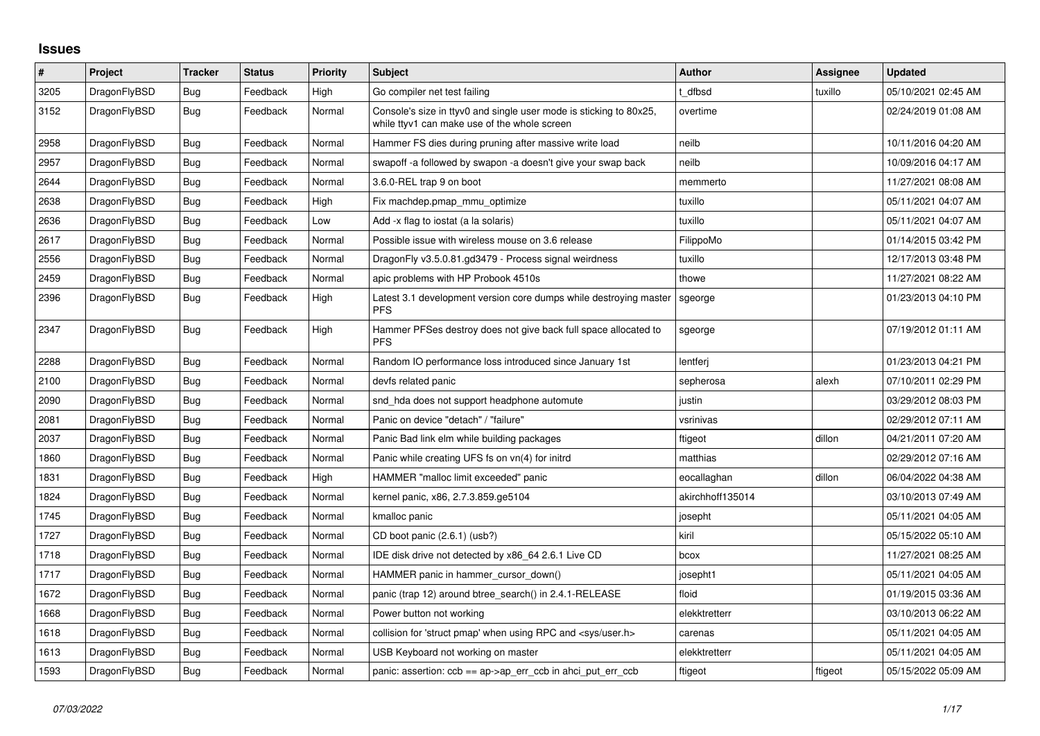## **Issues**

| $\sharp$ | Project      | <b>Tracker</b> | <b>Status</b> | <b>Priority</b> | <b>Subject</b>                                                                                                     | Author           | Assignee | <b>Updated</b>      |
|----------|--------------|----------------|---------------|-----------------|--------------------------------------------------------------------------------------------------------------------|------------------|----------|---------------------|
| 3205     | DragonFlyBSD | <b>Bug</b>     | Feedback      | High            | Go compiler net test failing                                                                                       | t dfbsd          | tuxillo  | 05/10/2021 02:45 AM |
| 3152     | DragonFlyBSD | Bug            | Feedback      | Normal          | Console's size in ttyv0 and single user mode is sticking to 80x25,<br>while ttyv1 can make use of the whole screen | overtime         |          | 02/24/2019 01:08 AM |
| 2958     | DragonFlyBSD | Bug            | Feedback      | Normal          | Hammer FS dies during pruning after massive write load                                                             | neilb            |          | 10/11/2016 04:20 AM |
| 2957     | DragonFlyBSD | <b>Bug</b>     | Feedback      | Normal          | swapoff -a followed by swapon -a doesn't give your swap back                                                       | neilb            |          | 10/09/2016 04:17 AM |
| 2644     | DragonFlyBSD | Bug            | Feedback      | Normal          | 3.6.0-REL trap 9 on boot                                                                                           | memmerto         |          | 11/27/2021 08:08 AM |
| 2638     | DragonFlyBSD | Bug            | Feedback      | High            | Fix machdep.pmap_mmu_optimize                                                                                      | tuxillo          |          | 05/11/2021 04:07 AM |
| 2636     | DragonFlyBSD | Bug            | Feedback      | Low             | Add -x flag to iostat (a la solaris)                                                                               | tuxillo          |          | 05/11/2021 04:07 AM |
| 2617     | DragonFlyBSD | Bug            | Feedback      | Normal          | Possible issue with wireless mouse on 3.6 release                                                                  | FilippoMo        |          | 01/14/2015 03:42 PM |
| 2556     | DragonFlyBSD | <b>Bug</b>     | Feedback      | Normal          | DragonFly v3.5.0.81.gd3479 - Process signal weirdness                                                              | tuxillo          |          | 12/17/2013 03:48 PM |
| 2459     | DragonFlyBSD | Bug            | Feedback      | Normal          | apic problems with HP Probook 4510s                                                                                | thowe            |          | 11/27/2021 08:22 AM |
| 2396     | DragonFlyBSD | Bug            | Feedback      | High            | Latest 3.1 development version core dumps while destroying master<br><b>PFS</b>                                    | sgeorge          |          | 01/23/2013 04:10 PM |
| 2347     | DragonFlyBSD | Bug            | Feedback      | High            | Hammer PFSes destroy does not give back full space allocated to<br><b>PFS</b>                                      | sgeorge          |          | 07/19/2012 01:11 AM |
| 2288     | DragonFlyBSD | Bug            | Feedback      | Normal          | Random IO performance loss introduced since January 1st                                                            | lentferi         |          | 01/23/2013 04:21 PM |
| 2100     | DragonFlyBSD | Bug            | Feedback      | Normal          | devfs related panic                                                                                                | sepherosa        | alexh    | 07/10/2011 02:29 PM |
| 2090     | DragonFlyBSD | Bug            | Feedback      | Normal          | snd_hda does not support headphone automute                                                                        | justin           |          | 03/29/2012 08:03 PM |
| 2081     | DragonFlyBSD | <b>Bug</b>     | Feedback      | Normal          | Panic on device "detach" / "failure"                                                                               | vsrinivas        |          | 02/29/2012 07:11 AM |
| 2037     | DragonFlyBSD | Bug            | Feedback      | Normal          | Panic Bad link elm while building packages                                                                         | ftigeot          | dillon   | 04/21/2011 07:20 AM |
| 1860     | DragonFlyBSD | Bug            | Feedback      | Normal          | Panic while creating UFS fs on vn(4) for initrd                                                                    | matthias         |          | 02/29/2012 07:16 AM |
| 1831     | DragonFlyBSD | Bug            | Feedback      | High            | HAMMER "malloc limit exceeded" panic                                                                               | eocallaghan      | dillon   | 06/04/2022 04:38 AM |
| 1824     | DragonFlyBSD | <b>Bug</b>     | Feedback      | Normal          | kernel panic, x86, 2.7.3.859.ge5104                                                                                | akirchhoff135014 |          | 03/10/2013 07:49 AM |
| 1745     | DragonFlyBSD | Bug            | Feedback      | Normal          | kmalloc panic                                                                                                      | josepht          |          | 05/11/2021 04:05 AM |
| 1727     | DragonFlyBSD | Bug            | Feedback      | Normal          | CD boot panic (2.6.1) (usb?)                                                                                       | kiril            |          | 05/15/2022 05:10 AM |
| 1718     | DragonFlyBSD | Bug            | Feedback      | Normal          | IDE disk drive not detected by x86 64 2.6.1 Live CD                                                                | bcox             |          | 11/27/2021 08:25 AM |
| 1717     | DragonFlyBSD | Bug            | Feedback      | Normal          | HAMMER panic in hammer cursor down()                                                                               | josepht1         |          | 05/11/2021 04:05 AM |
| 1672     | DragonFlyBSD | <b>Bug</b>     | Feedback      | Normal          | panic (trap 12) around btree search() in 2.4.1-RELEASE                                                             | floid            |          | 01/19/2015 03:36 AM |
| 1668     | DragonFlyBSD | <b>Bug</b>     | Feedback      | Normal          | Power button not working                                                                                           | elekktretterr    |          | 03/10/2013 06:22 AM |
| 1618     | DragonFlyBSD | Bug            | Feedback      | Normal          | collision for 'struct pmap' when using RPC and <sys user.h=""></sys>                                               | carenas          |          | 05/11/2021 04:05 AM |
| 1613     | DragonFlyBSD | Bug            | Feedback      | Normal          | USB Keyboard not working on master                                                                                 | elekktretterr    |          | 05/11/2021 04:05 AM |
| 1593     | DragonFlyBSD | Bug            | Feedback      | Normal          | panic: assertion: $ccb == ap > ap$ err $ccb$ in ahci put err $ccb$                                                 | ftigeot          | ftigeot  | 05/15/2022 05:09 AM |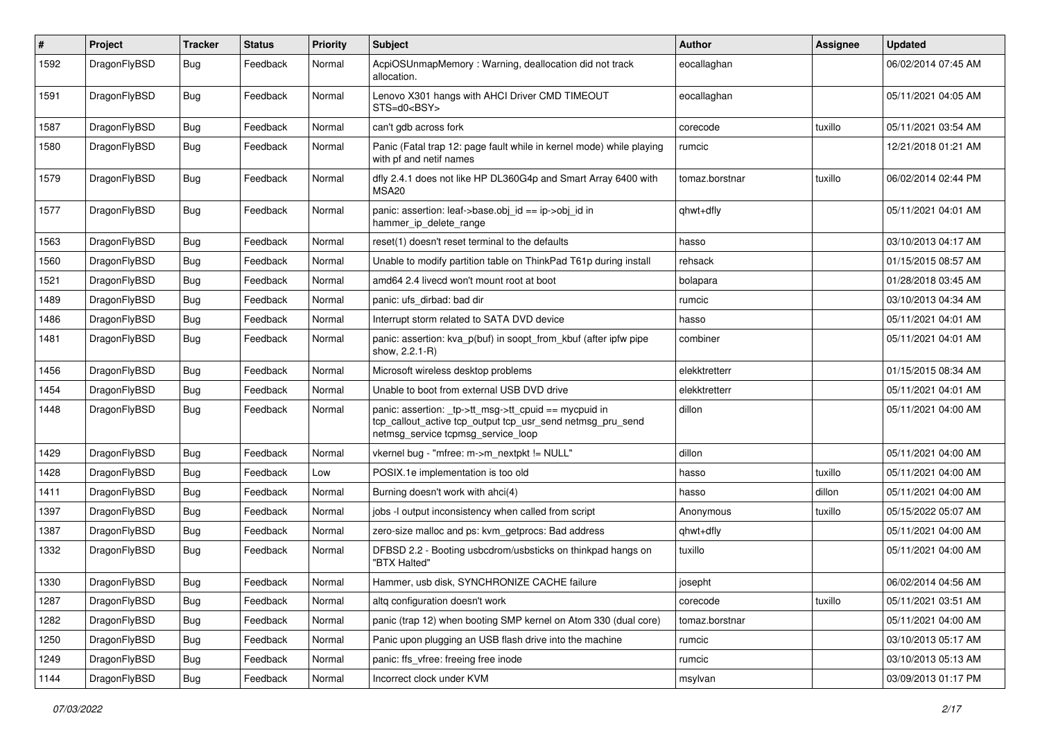| $\#$ | Project      | <b>Tracker</b> | <b>Status</b> | <b>Priority</b> | Subject                                                                                                                                                   | <b>Author</b>  | <b>Assignee</b> | <b>Updated</b>      |
|------|--------------|----------------|---------------|-----------------|-----------------------------------------------------------------------------------------------------------------------------------------------------------|----------------|-----------------|---------------------|
| 1592 | DragonFlyBSD | Bug            | Feedback      | Normal          | AcpiOSUnmapMemory: Warning, deallocation did not track<br>allocation.                                                                                     | eocallaghan    |                 | 06/02/2014 07:45 AM |
| 1591 | DragonFlyBSD | Bug            | Feedback      | Normal          | Lenovo X301 hangs with AHCI Driver CMD TIMEOUT<br>STS=d0 <bsy></bsy>                                                                                      | eocallaghan    |                 | 05/11/2021 04:05 AM |
| 1587 | DragonFlyBSD | Bug            | Feedback      | Normal          | can't gdb across fork                                                                                                                                     | corecode       | tuxillo         | 05/11/2021 03:54 AM |
| 1580 | DragonFlyBSD | <b>Bug</b>     | Feedback      | Normal          | Panic (Fatal trap 12: page fault while in kernel mode) while playing<br>with pf and netif names                                                           | rumcic         |                 | 12/21/2018 01:21 AM |
| 1579 | DragonFlyBSD | <b>Bug</b>     | Feedback      | Normal          | dfly 2.4.1 does not like HP DL360G4p and Smart Array 6400 with<br>MSA <sub>20</sub>                                                                       | tomaz.borstnar | tuxillo         | 06/02/2014 02:44 PM |
| 1577 | DragonFlyBSD | Bug            | Feedback      | Normal          | panic: assertion: leaf->base.obj_id == ip->obj_id in<br>hammer_ip_delete_range                                                                            | qhwt+dfly      |                 | 05/11/2021 04:01 AM |
| 1563 | DragonFlyBSD | Bug            | Feedback      | Normal          | reset(1) doesn't reset terminal to the defaults                                                                                                           | hasso          |                 | 03/10/2013 04:17 AM |
| 1560 | DragonFlyBSD | Bug            | Feedback      | Normal          | Unable to modify partition table on ThinkPad T61p during install                                                                                          | rehsack        |                 | 01/15/2015 08:57 AM |
| 1521 | DragonFlyBSD | <b>Bug</b>     | Feedback      | Normal          | amd64 2.4 livecd won't mount root at boot                                                                                                                 | bolapara       |                 | 01/28/2018 03:45 AM |
| 1489 | DragonFlyBSD | <b>Bug</b>     | Feedback      | Normal          | panic: ufs dirbad: bad dir                                                                                                                                | rumcic         |                 | 03/10/2013 04:34 AM |
| 1486 | DragonFlyBSD | <b>Bug</b>     | Feedback      | Normal          | Interrupt storm related to SATA DVD device                                                                                                                | hasso          |                 | 05/11/2021 04:01 AM |
| 1481 | DragonFlyBSD | Bug            | Feedback      | Normal          | panic: assertion: kva_p(buf) in soopt_from_kbuf (after ipfw pipe<br>show, 2.2.1-R)                                                                        | combiner       |                 | 05/11/2021 04:01 AM |
| 1456 | DragonFlyBSD | Bug            | Feedback      | Normal          | Microsoft wireless desktop problems                                                                                                                       | elekktretterr  |                 | 01/15/2015 08:34 AM |
| 1454 | DragonFlyBSD | <b>Bug</b>     | Feedback      | Normal          | Unable to boot from external USB DVD drive                                                                                                                | elekktretterr  |                 | 05/11/2021 04:01 AM |
| 1448 | DragonFlyBSD | Bug            | Feedback      | Normal          | panic: assertion: _tp->tt_msg->tt_cpuid == mycpuid in<br>tcp_callout_active tcp_output tcp_usr_send netmsg_pru_send<br>netmsg_service tcpmsg_service_loop | dillon         |                 | 05/11/2021 04:00 AM |
| 1429 | DragonFlyBSD | Bug            | Feedback      | Normal          | vkernel bug - "mfree: m->m_nextpkt != NULL"                                                                                                               | dillon         |                 | 05/11/2021 04:00 AM |
| 1428 | DragonFlyBSD | Bug            | Feedback      | Low             | POSIX.1e implementation is too old                                                                                                                        | hasso          | tuxillo         | 05/11/2021 04:00 AM |
| 1411 | DragonFlyBSD | Bug            | Feedback      | Normal          | Burning doesn't work with ahci(4)                                                                                                                         | hasso          | dillon          | 05/11/2021 04:00 AM |
| 1397 | DragonFlyBSD | <b>Bug</b>     | Feedback      | Normal          | jobs -I output inconsistency when called from script                                                                                                      | Anonymous      | tuxillo         | 05/15/2022 05:07 AM |
| 1387 | DragonFlyBSD | <b>Bug</b>     | Feedback      | Normal          | zero-size malloc and ps: kvm_getprocs: Bad address                                                                                                        | qhwt+dfly      |                 | 05/11/2021 04:00 AM |
| 1332 | DragonFlyBSD | Bug            | Feedback      | Normal          | DFBSD 2.2 - Booting usbcdrom/usbsticks on thinkpad hangs on<br>"BTX Halted"                                                                               | tuxillo        |                 | 05/11/2021 04:00 AM |
| 1330 | DragonFlyBSD | Bug            | Feedback      | Normal          | Hammer, usb disk, SYNCHRONIZE CACHE failure                                                                                                               | josepht        |                 | 06/02/2014 04:56 AM |
| 1287 | DragonFlyBSD | <b>Bug</b>     | Feedback      | Normal          | altq configuration doesn't work                                                                                                                           | corecode       | tuxillo         | 05/11/2021 03:51 AM |
| 1282 | DragonFlyBSD | Bug            | Feedback      | Normal          | panic (trap 12) when booting SMP kernel on Atom 330 (dual core)                                                                                           | tomaz.borstnar |                 | 05/11/2021 04:00 AM |
| 1250 | DragonFlyBSD | <b>Bug</b>     | Feedback      | Normal          | Panic upon plugging an USB flash drive into the machine                                                                                                   | rumcic         |                 | 03/10/2013 05:17 AM |
| 1249 | DragonFlyBSD | <b>Bug</b>     | Feedback      | Normal          | panic: ffs vfree: freeing free inode                                                                                                                      | rumcic         |                 | 03/10/2013 05:13 AM |
| 1144 | DragonFlyBSD | <b>Bug</b>     | Feedback      | Normal          | Incorrect clock under KVM                                                                                                                                 | msylvan        |                 | 03/09/2013 01:17 PM |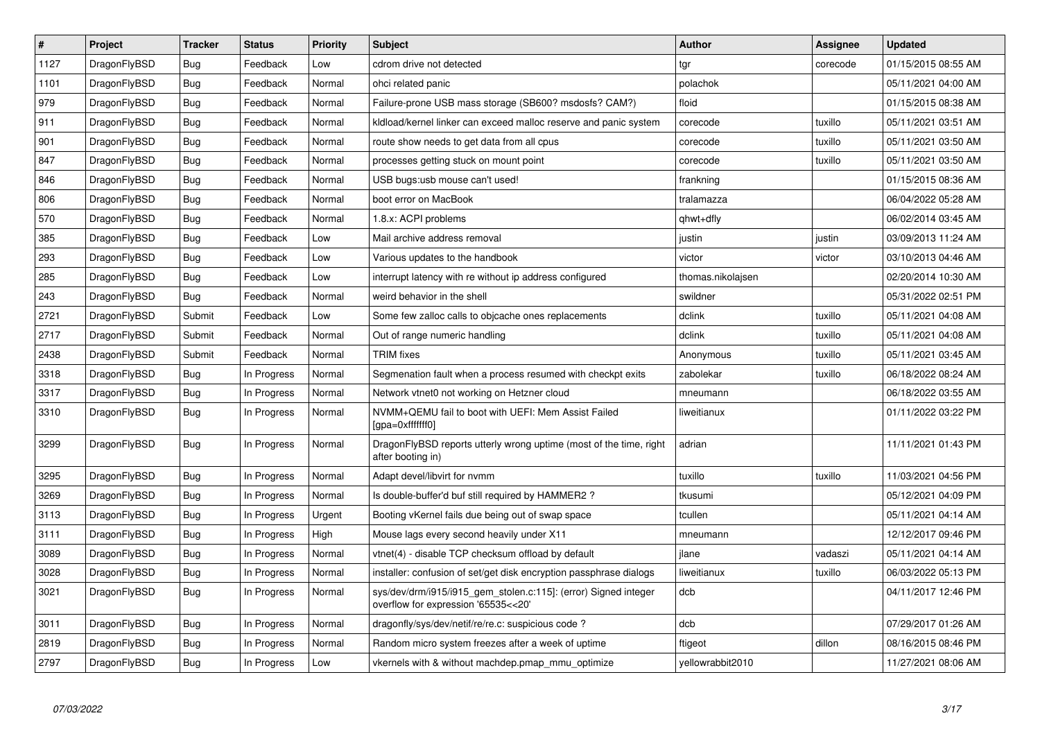| $\vert$ # | Project      | <b>Tracker</b> | <b>Status</b> | <b>Priority</b> | <b>Subject</b>                                                                                         | <b>Author</b>     | <b>Assignee</b> | <b>Updated</b>      |
|-----------|--------------|----------------|---------------|-----------------|--------------------------------------------------------------------------------------------------------|-------------------|-----------------|---------------------|
| 1127      | DragonFlyBSD | <b>Bug</b>     | Feedback      | Low             | cdrom drive not detected                                                                               | tgr               | corecode        | 01/15/2015 08:55 AM |
| 1101      | DragonFlyBSD | <b>Bug</b>     | Feedback      | Normal          | ohci related panic                                                                                     | polachok          |                 | 05/11/2021 04:00 AM |
| 979       | DragonFlyBSD | <b>Bug</b>     | Feedback      | Normal          | Failure-prone USB mass storage (SB600? msdosfs? CAM?)                                                  | floid             |                 | 01/15/2015 08:38 AM |
| 911       | DragonFlyBSD | Bug            | Feedback      | Normal          | kldload/kernel linker can exceed malloc reserve and panic system                                       | corecode          | tuxillo         | 05/11/2021 03:51 AM |
| 901       | DragonFlyBSD | Bug            | Feedback      | Normal          | route show needs to get data from all cpus                                                             | corecode          | tuxillo         | 05/11/2021 03:50 AM |
| 847       | DragonFlyBSD | <b>Bug</b>     | Feedback      | Normal          | processes getting stuck on mount point                                                                 | corecode          | tuxillo         | 05/11/2021 03:50 AM |
| 846       | DragonFlyBSD | Bug            | Feedback      | Normal          | USB bugs:usb mouse can't used!                                                                         | frankning         |                 | 01/15/2015 08:36 AM |
| 806       | DragonFlyBSD | <b>Bug</b>     | Feedback      | Normal          | boot error on MacBook                                                                                  | tralamazza        |                 | 06/04/2022 05:28 AM |
| 570       | DragonFlyBSD | Bug            | Feedback      | Normal          | 1.8.x: ACPI problems                                                                                   | qhwt+dfly         |                 | 06/02/2014 03:45 AM |
| 385       | DragonFlyBSD | <b>Bug</b>     | Feedback      | Low             | Mail archive address removal                                                                           | justin            | justin          | 03/09/2013 11:24 AM |
| 293       | DragonFlyBSD | Bug            | Feedback      | Low             | Various updates to the handbook                                                                        | victor            | victor          | 03/10/2013 04:46 AM |
| 285       | DragonFlyBSD | Bug            | Feedback      | Low             | interrupt latency with re without ip address configured                                                | thomas.nikolajsen |                 | 02/20/2014 10:30 AM |
| 243       | DragonFlyBSD | Bug            | Feedback      | Normal          | weird behavior in the shell                                                                            | swildner          |                 | 05/31/2022 02:51 PM |
| 2721      | DragonFlyBSD | Submit         | Feedback      | Low             | Some few zalloc calls to objcache ones replacements                                                    | dclink            | tuxillo         | 05/11/2021 04:08 AM |
| 2717      | DragonFlyBSD | Submit         | Feedback      | Normal          | Out of range numeric handling                                                                          | dclink            | tuxillo         | 05/11/2021 04:08 AM |
| 2438      | DragonFlyBSD | Submit         | Feedback      | Normal          | <b>TRIM</b> fixes                                                                                      | Anonymous         | tuxillo         | 05/11/2021 03:45 AM |
| 3318      | DragonFlyBSD | Bug            | In Progress   | Normal          | Segmenation fault when a process resumed with checkpt exits                                            | zabolekar         | tuxillo         | 06/18/2022 08:24 AM |
| 3317      | DragonFlyBSD | <b>Bug</b>     | In Progress   | Normal          | Network vtnet0 not working on Hetzner cloud                                                            | mneumann          |                 | 06/18/2022 03:55 AM |
| 3310      | DragonFlyBSD | Bug            | In Progress   | Normal          | NVMM+QEMU fail to boot with UEFI: Mem Assist Failed<br>[gpa=0xfffffff0]                                | liweitianux       |                 | 01/11/2022 03:22 PM |
| 3299      | DragonFlyBSD | <b>Bug</b>     | In Progress   | Normal          | DragonFlyBSD reports utterly wrong uptime (most of the time, right<br>after booting in)                | adrian            |                 | 11/11/2021 01:43 PM |
| 3295      | DragonFlyBSD | <b>Bug</b>     | In Progress   | Normal          | Adapt devel/libvirt for nymm                                                                           | tuxillo           | tuxillo         | 11/03/2021 04:56 PM |
| 3269      | DragonFlyBSD | <b>Bug</b>     | In Progress   | Normal          | Is double-buffer'd buf still required by HAMMER2?                                                      | tkusumi           |                 | 05/12/2021 04:09 PM |
| 3113      | DragonFlyBSD | <b>Bug</b>     | In Progress   | Urgent          | Booting vKernel fails due being out of swap space                                                      | tcullen           |                 | 05/11/2021 04:14 AM |
| 3111      | DragonFlyBSD | Bug            | In Progress   | High            | Mouse lags every second heavily under X11                                                              | mneumann          |                 | 12/12/2017 09:46 PM |
| 3089      | DragonFlyBSD | <b>Bug</b>     | In Progress   | Normal          | vtnet(4) - disable TCP checksum offload by default                                                     | ilane             | vadaszi         | 05/11/2021 04:14 AM |
| 3028      | DragonFlyBSD | <b>Bug</b>     | In Progress   | Normal          | installer: confusion of set/get disk encryption passphrase dialogs                                     | liweitianux       | tuxillo         | 06/03/2022 05:13 PM |
| 3021      | DragonFlyBSD | <b>Bug</b>     | In Progress   | Normal          | sys/dev/drm/i915/i915_gem_stolen.c:115]: (error) Signed integer<br>overflow for expression '65535<<20' | dcb               |                 | 04/11/2017 12:46 PM |
| 3011      | DragonFlyBSD | <b>Bug</b>     | In Progress   | Normal          | dragonfly/sys/dev/netif/re/re.c: suspicious code ?                                                     | dcb               |                 | 07/29/2017 01:26 AM |
| 2819      | DragonFlyBSD | Bug            | In Progress   | Normal          | Random micro system freezes after a week of uptime                                                     | ftigeot           | dillon          | 08/16/2015 08:46 PM |
| 2797      | DragonFlyBSD | Bug            | In Progress   | Low             | vkernels with & without machdep.pmap_mmu_optimize                                                      | yellowrabbit2010  |                 | 11/27/2021 08:06 AM |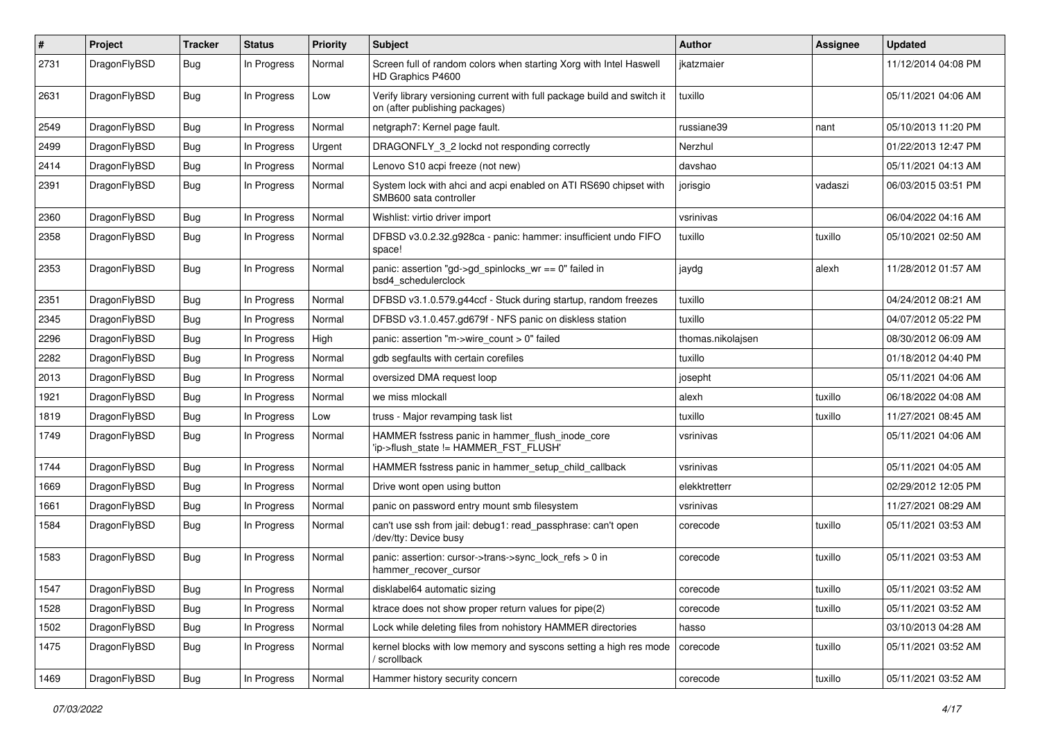| $\sharp$ | Project      | <b>Tracker</b> | <b>Status</b> | <b>Priority</b> | Subject                                                                                                   | Author            | Assignee | <b>Updated</b>      |
|----------|--------------|----------------|---------------|-----------------|-----------------------------------------------------------------------------------------------------------|-------------------|----------|---------------------|
| 2731     | DragonFlyBSD | Bug            | In Progress   | Normal          | Screen full of random colors when starting Xorg with Intel Haswell<br>HD Graphics P4600                   | jkatzmaier        |          | 11/12/2014 04:08 PM |
| 2631     | DragonFlyBSD | Bug            | In Progress   | Low             | Verify library versioning current with full package build and switch it<br>on (after publishing packages) | tuxillo           |          | 05/11/2021 04:06 AM |
| 2549     | DragonFlyBSD | Bug            | In Progress   | Normal          | netgraph7: Kernel page fault.                                                                             | russiane39        | nant     | 05/10/2013 11:20 PM |
| 2499     | DragonFlyBSD | Bug            | In Progress   | Urgent          | DRAGONFLY_3_2 lockd not responding correctly                                                              | Nerzhul           |          | 01/22/2013 12:47 PM |
| 2414     | DragonFlyBSD | <b>Bug</b>     | In Progress   | Normal          | Lenovo S10 acpi freeze (not new)                                                                          | davshao           |          | 05/11/2021 04:13 AM |
| 2391     | DragonFlyBSD | <b>Bug</b>     | In Progress   | Normal          | System lock with ahci and acpi enabled on ATI RS690 chipset with<br>SMB600 sata controller                | jorisgio          | vadaszi  | 06/03/2015 03:51 PM |
| 2360     | DragonFlyBSD | Bug            | In Progress   | Normal          | Wishlist: virtio driver import                                                                            | vsrinivas         |          | 06/04/2022 04:16 AM |
| 2358     | DragonFlyBSD | <b>Bug</b>     | In Progress   | Normal          | DFBSD v3.0.2.32.g928ca - panic: hammer: insufficient undo FIFO<br>space!                                  | tuxillo           | tuxillo  | 05/10/2021 02:50 AM |
| 2353     | DragonFlyBSD | <b>Bug</b>     | In Progress   | Normal          | panic: assertion "gd->gd_spinlocks_wr == 0" failed in<br>bsd4_schedulerclock                              | jaydg             | alexh    | 11/28/2012 01:57 AM |
| 2351     | DragonFlyBSD | <b>Bug</b>     | In Progress   | Normal          | DFBSD v3.1.0.579.g44ccf - Stuck during startup, random freezes                                            | tuxillo           |          | 04/24/2012 08:21 AM |
| 2345     | DragonFlyBSD | <b>Bug</b>     | In Progress   | Normal          | DFBSD v3.1.0.457.gd679f - NFS panic on diskless station                                                   | tuxillo           |          | 04/07/2012 05:22 PM |
| 2296     | DragonFlyBSD | <b>Bug</b>     | In Progress   | High            | panic: assertion "m->wire count > 0" failed                                                               | thomas.nikolajsen |          | 08/30/2012 06:09 AM |
| 2282     | DragonFlyBSD | <b>Bug</b>     | In Progress   | Normal          | gdb segfaults with certain corefiles                                                                      | tuxillo           |          | 01/18/2012 04:40 PM |
| 2013     | DragonFlyBSD | <b>Bug</b>     | In Progress   | Normal          | oversized DMA request loop                                                                                | josepht           |          | 05/11/2021 04:06 AM |
| 1921     | DragonFlyBSD | <b>Bug</b>     | In Progress   | Normal          | we miss mlockall                                                                                          | alexh             | tuxillo  | 06/18/2022 04:08 AM |
| 1819     | DragonFlyBSD | <b>Bug</b>     | In Progress   | Low             | truss - Major revamping task list                                                                         | tuxillo           | tuxillo  | 11/27/2021 08:45 AM |
| 1749     | DragonFlyBSD | <b>Bug</b>     | In Progress   | Normal          | HAMMER fsstress panic in hammer_flush_inode_core<br>'ip->flush_state != HAMMER_FST_FLUSH'                 | vsrinivas         |          | 05/11/2021 04:06 AM |
| 1744     | DragonFlyBSD | <b>Bug</b>     | In Progress   | Normal          | HAMMER fsstress panic in hammer_setup_child_callback                                                      | vsrinivas         |          | 05/11/2021 04:05 AM |
| 1669     | DragonFlyBSD | <b>Bug</b>     | In Progress   | Normal          | Drive wont open using button                                                                              | elekktretterr     |          | 02/29/2012 12:05 PM |
| 1661     | DragonFlyBSD | <b>Bug</b>     | In Progress   | Normal          | panic on password entry mount smb filesystem                                                              | vsrinivas         |          | 11/27/2021 08:29 AM |
| 1584     | DragonFlyBSD | Bug            | In Progress   | Normal          | can't use ssh from jail: debug1: read_passphrase: can't open<br>/dev/tty: Device busy                     | corecode          | tuxillo  | 05/11/2021 03:53 AM |
| 1583     | DragonFlyBSD | <b>Bug</b>     | In Progress   | Normal          | panic: assertion: cursor->trans->sync_lock_refs > 0 in<br>hammer_recover_cursor                           | corecode          | tuxillo  | 05/11/2021 03:53 AM |
| 1547     | DragonFlyBSD | <b>Bug</b>     | In Progress   | Normal          | disklabel64 automatic sizing                                                                              | corecode          | tuxillo  | 05/11/2021 03:52 AM |
| 1528     | DragonFlyBSD | Bug            | In Progress   | Normal          | ktrace does not show proper return values for pipe(2)                                                     | corecode          | tuxillo  | 05/11/2021 03:52 AM |
| 1502     | DragonFlyBSD | <b>Bug</b>     | In Progress   | Normal          | Lock while deleting files from nohistory HAMMER directories                                               | hasso             |          | 03/10/2013 04:28 AM |
| 1475     | DragonFlyBSD | <b>Bug</b>     | In Progress   | Normal          | kernel blocks with low memory and syscons setting a high res mode<br>' scrollback                         | corecode          | tuxillo  | 05/11/2021 03:52 AM |
| 1469     | DragonFlyBSD | <b>Bug</b>     | In Progress   | Normal          | Hammer history security concern                                                                           | corecode          | tuxillo  | 05/11/2021 03:52 AM |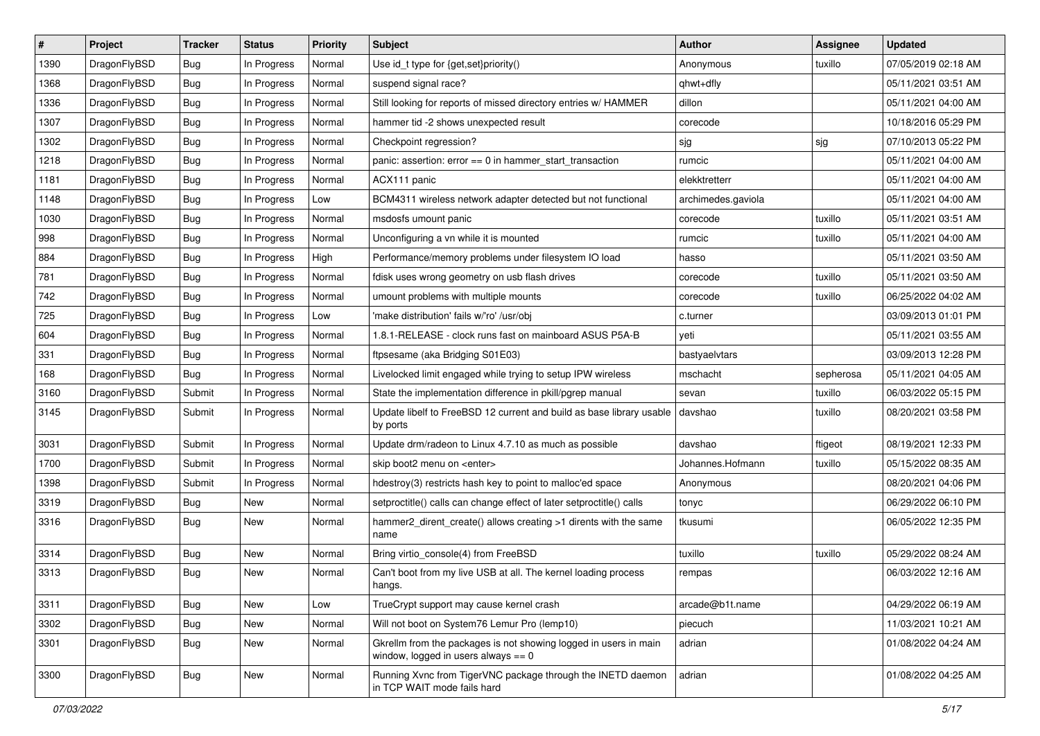| #    | Project      | <b>Tracker</b> | <b>Status</b> | <b>Priority</b> | Subject                                                                                                   | Author             | <b>Assignee</b> | <b>Updated</b>      |
|------|--------------|----------------|---------------|-----------------|-----------------------------------------------------------------------------------------------------------|--------------------|-----------------|---------------------|
| 1390 | DragonFlyBSD | Bug            | In Progress   | Normal          | Use id_t type for {get,set}priority()                                                                     | Anonymous          | tuxillo         | 07/05/2019 02:18 AM |
| 1368 | DragonFlyBSD | Bug            | In Progress   | Normal          | suspend signal race?                                                                                      | qhwt+dfly          |                 | 05/11/2021 03:51 AM |
| 1336 | DragonFlyBSD | Bug            | In Progress   | Normal          | Still looking for reports of missed directory entries w/ HAMMER                                           | dillon             |                 | 05/11/2021 04:00 AM |
| 1307 | DragonFlyBSD | <b>Bug</b>     | In Progress   | Normal          | hammer tid -2 shows unexpected result                                                                     | corecode           |                 | 10/18/2016 05:29 PM |
| 1302 | DragonFlyBSD | Bug            | In Progress   | Normal          | Checkpoint regression?                                                                                    | sjg                | sjg             | 07/10/2013 05:22 PM |
| 1218 | DragonFlyBSD | <b>Bug</b>     | In Progress   | Normal          | panic: assertion: $error == 0$ in hammer start transaction                                                | rumcic             |                 | 05/11/2021 04:00 AM |
| 1181 | DragonFlyBSD | <b>Bug</b>     | In Progress   | Normal          | ACX111 panic                                                                                              | elekktretterr      |                 | 05/11/2021 04:00 AM |
| 1148 | DragonFlyBSD | <b>Bug</b>     | In Progress   | Low             | BCM4311 wireless network adapter detected but not functional                                              | archimedes.gaviola |                 | 05/11/2021 04:00 AM |
| 1030 | DragonFlyBSD | <b>Bug</b>     | In Progress   | Normal          | msdosfs umount panic                                                                                      | corecode           | tuxillo         | 05/11/2021 03:51 AM |
| 998  | DragonFlyBSD | Bug            | In Progress   | Normal          | Unconfiguring a vn while it is mounted                                                                    | rumcic             | tuxillo         | 05/11/2021 04:00 AM |
| 884  | DragonFlyBSD | <b>Bug</b>     | In Progress   | High            | Performance/memory problems under filesystem IO load                                                      | hasso              |                 | 05/11/2021 03:50 AM |
| 781  | DragonFlyBSD | <b>Bug</b>     | In Progress   | Normal          | fdisk uses wrong geometry on usb flash drives                                                             | corecode           | tuxillo         | 05/11/2021 03:50 AM |
| 742  | DragonFlyBSD | <b>Bug</b>     | In Progress   | Normal          | umount problems with multiple mounts                                                                      | corecode           | tuxillo         | 06/25/2022 04:02 AM |
| 725  | DragonFlyBSD | <b>Bug</b>     | In Progress   | Low             | 'make distribution' fails w/'ro' /usr/obj                                                                 | c.turner           |                 | 03/09/2013 01:01 PM |
| 604  | DragonFlyBSD | Bug            | In Progress   | Normal          | 1.8.1-RELEASE - clock runs fast on mainboard ASUS P5A-B                                                   | yeti               |                 | 05/11/2021 03:55 AM |
| 331  | DragonFlyBSD | <b>Bug</b>     | In Progress   | Normal          | ftpsesame (aka Bridging S01E03)                                                                           | bastyaelvtars      |                 | 03/09/2013 12:28 PM |
| 168  | DragonFlyBSD | <b>Bug</b>     | In Progress   | Normal          | Livelocked limit engaged while trying to setup IPW wireless                                               | mschacht           | sepherosa       | 05/11/2021 04:05 AM |
| 3160 | DragonFlyBSD | Submit         | In Progress   | Normal          | State the implementation difference in pkill/pgrep manual                                                 | sevan              | tuxillo         | 06/03/2022 05:15 PM |
| 3145 | DragonFlyBSD | Submit         | In Progress   | Normal          | Update libelf to FreeBSD 12 current and build as base library usable<br>by ports                          | davshao            | tuxillo         | 08/20/2021 03:58 PM |
| 3031 | DragonFlyBSD | Submit         | In Progress   | Normal          | Update drm/radeon to Linux 4.7.10 as much as possible                                                     | davshao            | ftigeot         | 08/19/2021 12:33 PM |
| 1700 | DragonFlyBSD | Submit         | In Progress   | Normal          | skip boot2 menu on <enter></enter>                                                                        | Johannes.Hofmann   | tuxillo         | 05/15/2022 08:35 AM |
| 1398 | DragonFlyBSD | Submit         | In Progress   | Normal          | hdestroy(3) restricts hash key to point to malloc'ed space                                                | Anonymous          |                 | 08/20/2021 04:06 PM |
| 3319 | DragonFlyBSD | <b>Bug</b>     | New           | Normal          | setproctitle() calls can change effect of later setproctitle() calls                                      | tonyc              |                 | 06/29/2022 06:10 PM |
| 3316 | DragonFlyBSD | <b>Bug</b>     | New           | Normal          | hammer2_dirent_create() allows creating >1 dirents with the same<br>name                                  | tkusumi            |                 | 06/05/2022 12:35 PM |
| 3314 | DragonFlyBSD | Bug            | New           | Normal          | Bring virtio_console(4) from FreeBSD                                                                      | tuxillo            | tuxillo         | 05/29/2022 08:24 AM |
| 3313 | DragonFlyBSD | <b>Bug</b>     | New           | Normal          | Can't boot from my live USB at all. The kernel loading process<br>hangs.                                  | rempas             |                 | 06/03/2022 12:16 AM |
| 3311 | DragonFlyBSD | Bug            | <b>New</b>    | Low             | TrueCrypt support may cause kernel crash                                                                  | arcade@b1t.name    |                 | 04/29/2022 06:19 AM |
| 3302 | DragonFlyBSD | <b>Bug</b>     | <b>New</b>    | Normal          | Will not boot on System76 Lemur Pro (lemp10)                                                              | piecuch            |                 | 11/03/2021 10:21 AM |
| 3301 | DragonFlyBSD | Bug            | New           | Normal          | Gkrellm from the packages is not showing logged in users in main<br>window, logged in users always $== 0$ | adrian             |                 | 01/08/2022 04:24 AM |
| 3300 | DragonFlyBSD | <b>Bug</b>     | New           | Normal          | Running Xvnc from TigerVNC package through the INETD daemon<br>in TCP WAIT mode fails hard                | adrian             |                 | 01/08/2022 04:25 AM |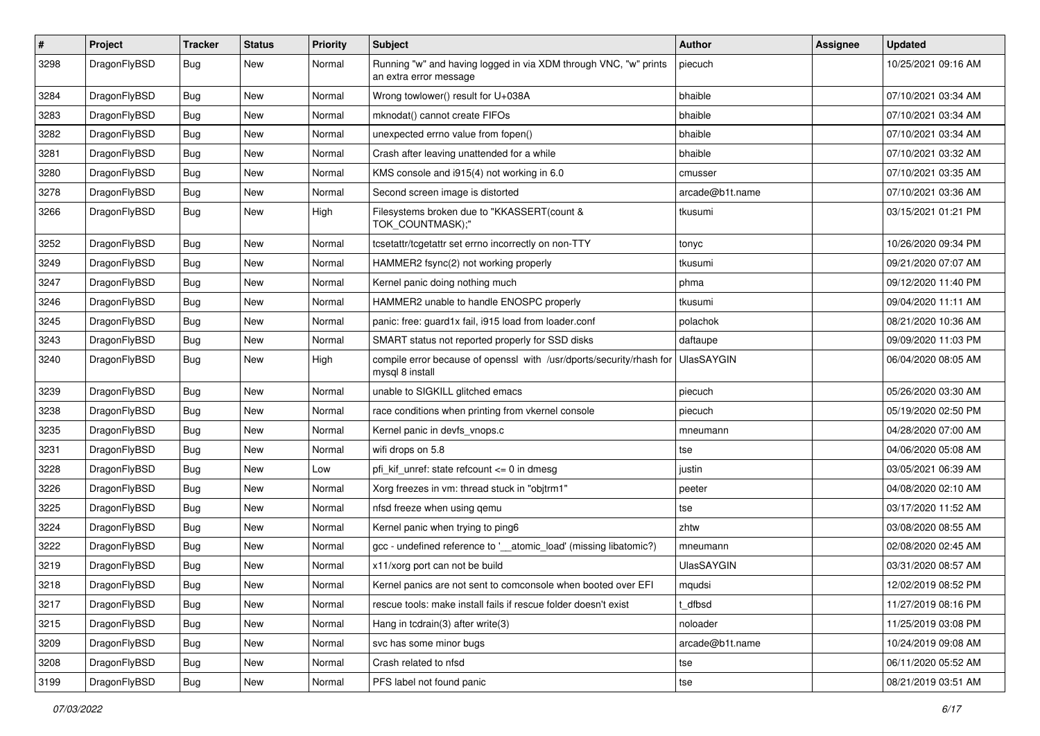| $\sharp$ | Project      | <b>Tracker</b> | <b>Status</b> | <b>Priority</b> | Subject                                                                                    | Author            | Assignee | <b>Updated</b>      |
|----------|--------------|----------------|---------------|-----------------|--------------------------------------------------------------------------------------------|-------------------|----------|---------------------|
| 3298     | DragonFlyBSD | Bug            | <b>New</b>    | Normal          | Running "w" and having logged in via XDM through VNC, "w" prints<br>an extra error message | piecuch           |          | 10/25/2021 09:16 AM |
| 3284     | DragonFlyBSD | <b>Bug</b>     | <b>New</b>    | Normal          | Wrong towlower() result for U+038A                                                         | bhaible           |          | 07/10/2021 03:34 AM |
| 3283     | DragonFlyBSD | Bug            | New           | Normal          | mknodat() cannot create FIFOs                                                              | bhaible           |          | 07/10/2021 03:34 AM |
| 3282     | DragonFlyBSD | <b>Bug</b>     | <b>New</b>    | Normal          | unexpected errno value from fopen()                                                        | bhaible           |          | 07/10/2021 03:34 AM |
| 3281     | DragonFlyBSD | <b>Bug</b>     | New           | Normal          | Crash after leaving unattended for a while                                                 | bhaible           |          | 07/10/2021 03:32 AM |
| 3280     | DragonFlyBSD | <b>Bug</b>     | <b>New</b>    | Normal          | KMS console and i915(4) not working in 6.0                                                 | cmusser           |          | 07/10/2021 03:35 AM |
| 3278     | DragonFlyBSD | <b>Bug</b>     | <b>New</b>    | Normal          | Second screen image is distorted                                                           | arcade@b1t.name   |          | 07/10/2021 03:36 AM |
| 3266     | DragonFlyBSD | <b>Bug</b>     | New           | High            | Filesystems broken due to "KKASSERT(count &<br>TOK_COUNTMASK);"                            | tkusumi           |          | 03/15/2021 01:21 PM |
| 3252     | DragonFlyBSD | Bug            | <b>New</b>    | Normal          | tcsetattr/tcgetattr set errno incorrectly on non-TTY                                       | tonyc             |          | 10/26/2020 09:34 PM |
| 3249     | DragonFlyBSD | <b>Bug</b>     | <b>New</b>    | Normal          | HAMMER2 fsync(2) not working properly                                                      | tkusumi           |          | 09/21/2020 07:07 AM |
| 3247     | DragonFlyBSD | <b>Bug</b>     | <b>New</b>    | Normal          | Kernel panic doing nothing much                                                            | phma              |          | 09/12/2020 11:40 PM |
| 3246     | DragonFlyBSD | <b>Bug</b>     | New           | Normal          | HAMMER2 unable to handle ENOSPC properly                                                   | tkusumi           |          | 09/04/2020 11:11 AM |
| 3245     | DragonFlyBSD | <b>Bug</b>     | <b>New</b>    | Normal          | panic: free: guard1x fail, i915 load from loader.conf                                      | polachok          |          | 08/21/2020 10:36 AM |
| 3243     | DragonFlyBSD | Bug            | <b>New</b>    | Normal          | SMART status not reported properly for SSD disks                                           | daftaupe          |          | 09/09/2020 11:03 PM |
| 3240     | DragonFlyBSD | <b>Bug</b>     | <b>New</b>    | High            | compile error because of openssl with /usr/dports/security/rhash for<br>mysql 8 install    | <b>UlasSAYGIN</b> |          | 06/04/2020 08:05 AM |
| 3239     | DragonFlyBSD | <b>Bug</b>     | <b>New</b>    | Normal          | unable to SIGKILL glitched emacs                                                           | piecuch           |          | 05/26/2020 03:30 AM |
| 3238     | DragonFlyBSD | <b>Bug</b>     | <b>New</b>    | Normal          | race conditions when printing from vkernel console                                         | piecuch           |          | 05/19/2020 02:50 PM |
| 3235     | DragonFlyBSD | <b>Bug</b>     | New           | Normal          | Kernel panic in devfs_vnops.c                                                              | mneumann          |          | 04/28/2020 07:00 AM |
| 3231     | DragonFlyBSD | <b>Bug</b>     | <b>New</b>    | Normal          | wifi drops on 5.8                                                                          | tse               |          | 04/06/2020 05:08 AM |
| 3228     | DragonFlyBSD | <b>Bug</b>     | <b>New</b>    | Low             | pfi kif unref: state refcount $\leq$ 0 in dmesg                                            | justin            |          | 03/05/2021 06:39 AM |
| 3226     | DragonFlyBSD | Bug            | <b>New</b>    | Normal          | Xorg freezes in vm: thread stuck in "objtrm1"                                              | peeter            |          | 04/08/2020 02:10 AM |
| 3225     | DragonFlyBSD | <b>Bug</b>     | New           | Normal          | nfsd freeze when using qemu                                                                | tse               |          | 03/17/2020 11:52 AM |
| 3224     | DragonFlyBSD | <b>Bug</b>     | <b>New</b>    | Normal          | Kernel panic when trying to ping6                                                          | zhtw              |          | 03/08/2020 08:55 AM |
| 3222     | DragonFlyBSD | Bug            | <b>New</b>    | Normal          | gcc - undefined reference to '__atomic_load' (missing libatomic?)                          | mneumann          |          | 02/08/2020 02:45 AM |
| 3219     | DragonFlyBSD | <b>Bug</b>     | <b>New</b>    | Normal          | x11/xorg port can not be build                                                             | UlasSAYGIN        |          | 03/31/2020 08:57 AM |
| 3218     | DragonFlyBSD | Bug            | <b>New</b>    | Normal          | Kernel panics are not sent to comconsole when booted over EFI                              | mqudsi            |          | 12/02/2019 08:52 PM |
| 3217     | DragonFlyBSD | <b>Bug</b>     | <b>New</b>    | Normal          | rescue tools: make install fails if rescue folder doesn't exist                            | t dfbsd           |          | 11/27/2019 08:16 PM |
| 3215     | DragonFlyBSD | Bug            | New           | Normal          | Hang in tcdrain(3) after write(3)                                                          | noloader          |          | 11/25/2019 03:08 PM |
| 3209     | DragonFlyBSD | <b>Bug</b>     | New           | Normal          | svc has some minor bugs                                                                    | arcade@b1t.name   |          | 10/24/2019 09:08 AM |
| 3208     | DragonFlyBSD | <b>Bug</b>     | New           | Normal          | Crash related to nfsd                                                                      | tse               |          | 06/11/2020 05:52 AM |
| 3199     | DragonFlyBSD | <b>Bug</b>     | New           | Normal          | PFS label not found panic                                                                  | tse               |          | 08/21/2019 03:51 AM |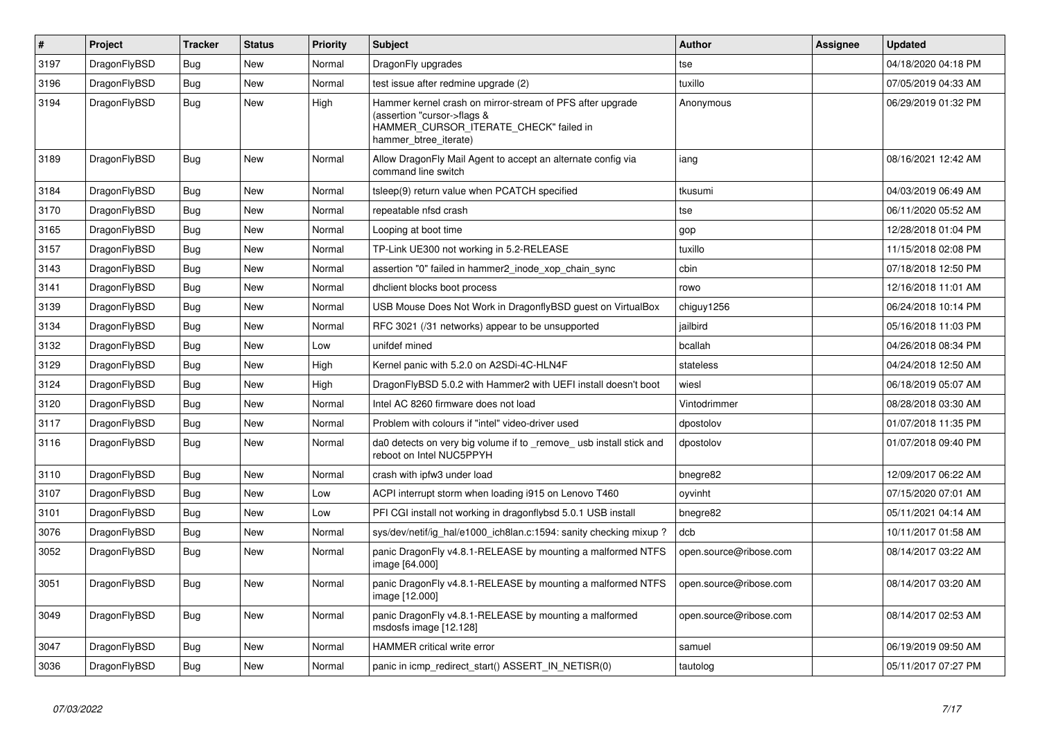| $\vert$ # | Project      | <b>Tracker</b> | <b>Status</b> | <b>Priority</b> | <b>Subject</b>                                                                                                                                              | <b>Author</b>          | Assignee | <b>Updated</b>      |
|-----------|--------------|----------------|---------------|-----------------|-------------------------------------------------------------------------------------------------------------------------------------------------------------|------------------------|----------|---------------------|
| 3197      | DragonFlyBSD | Bug            | <b>New</b>    | Normal          | DragonFly upgrades                                                                                                                                          | tse                    |          | 04/18/2020 04:18 PM |
| 3196      | DragonFlyBSD | Bug            | <b>New</b>    | Normal          | test issue after redmine upgrade (2)                                                                                                                        | tuxillo                |          | 07/05/2019 04:33 AM |
| 3194      | DragonFlyBSD | Bug            | New           | High            | Hammer kernel crash on mirror-stream of PFS after upgrade<br>(assertion "cursor->flags &<br>HAMMER_CURSOR_ITERATE_CHECK" failed in<br>hammer_btree_iterate) | Anonymous              |          | 06/29/2019 01:32 PM |
| 3189      | DragonFlyBSD | Bug            | <b>New</b>    | Normal          | Allow DragonFly Mail Agent to accept an alternate config via<br>command line switch                                                                         | iang                   |          | 08/16/2021 12:42 AM |
| 3184      | DragonFlyBSD | Bug            | New           | Normal          | tsleep(9) return value when PCATCH specified                                                                                                                | tkusumi                |          | 04/03/2019 06:49 AM |
| 3170      | DragonFlyBSD | Bug            | <b>New</b>    | Normal          | repeatable nfsd crash                                                                                                                                       | tse                    |          | 06/11/2020 05:52 AM |
| 3165      | DragonFlyBSD | <b>Bug</b>     | New           | Normal          | Looping at boot time                                                                                                                                        | gop                    |          | 12/28/2018 01:04 PM |
| 3157      | DragonFlyBSD | Bug            | New           | Normal          | TP-Link UE300 not working in 5.2-RELEASE                                                                                                                    | tuxillo                |          | 11/15/2018 02:08 PM |
| 3143      | DragonFlyBSD | Bug            | New           | Normal          | assertion "0" failed in hammer2 inode xop chain sync                                                                                                        | cbin                   |          | 07/18/2018 12:50 PM |
| 3141      | DragonFlyBSD | <b>Bug</b>     | <b>New</b>    | Normal          | dhclient blocks boot process                                                                                                                                | rowo                   |          | 12/16/2018 11:01 AM |
| 3139      | DragonFlyBSD | Bug            | <b>New</b>    | Normal          | USB Mouse Does Not Work in DragonflyBSD guest on VirtualBox                                                                                                 | chiguy1256             |          | 06/24/2018 10:14 PM |
| 3134      | DragonFlyBSD | <b>Bug</b>     | <b>New</b>    | Normal          | RFC 3021 (/31 networks) appear to be unsupported                                                                                                            | jailbird               |          | 05/16/2018 11:03 PM |
| 3132      | DragonFlyBSD | Bug            | New           | Low             | unifdef mined                                                                                                                                               | bcallah                |          | 04/26/2018 08:34 PM |
| 3129      | DragonFlyBSD | <b>Bug</b>     | <b>New</b>    | High            | Kernel panic with 5.2.0 on A2SDi-4C-HLN4F                                                                                                                   | stateless              |          | 04/24/2018 12:50 AM |
| 3124      | DragonFlyBSD | <b>Bug</b>     | <b>New</b>    | High            | DragonFlyBSD 5.0.2 with Hammer2 with UEFI install doesn't boot                                                                                              | wiesl                  |          | 06/18/2019 05:07 AM |
| 3120      | DragonFlyBSD | Bug            | <b>New</b>    | Normal          | Intel AC 8260 firmware does not load                                                                                                                        | Vintodrimmer           |          | 08/28/2018 03:30 AM |
| 3117      | DragonFlyBSD | <b>Bug</b>     | <b>New</b>    | Normal          | Problem with colours if "intel" video-driver used                                                                                                           | dpostolov              |          | 01/07/2018 11:35 PM |
| 3116      | DragonFlyBSD | Bug            | New           | Normal          | da0 detects on very big volume if to remove usb install stick and<br>reboot on Intel NUC5PPYH                                                               | dpostolov              |          | 01/07/2018 09:40 PM |
| 3110      | DragonFlyBSD | <b>Bug</b>     | <b>New</b>    | Normal          | crash with ipfw3 under load                                                                                                                                 | bnegre82               |          | 12/09/2017 06:22 AM |
| 3107      | DragonFlyBSD | Bug            | <b>New</b>    | Low             | ACPI interrupt storm when loading i915 on Lenovo T460                                                                                                       | oyvinht                |          | 07/15/2020 07:01 AM |
| 3101      | DragonFlyBSD | <b>Bug</b>     | <b>New</b>    | Low             | PFI CGI install not working in dragonflybsd 5.0.1 USB install                                                                                               | bnegre82               |          | 05/11/2021 04:14 AM |
| 3076      | DragonFlyBSD | Bug            | <b>New</b>    | Normal          | sys/dev/netif/ig hal/e1000 ich8lan.c:1594: sanity checking mixup?                                                                                           | dcb                    |          | 10/11/2017 01:58 AM |
| 3052      | DragonFlyBSD | <b>Bug</b>     | New           | Normal          | panic DragonFly v4.8.1-RELEASE by mounting a malformed NTFS<br>image [64.000]                                                                               | open.source@ribose.com |          | 08/14/2017 03:22 AM |
| 3051      | DragonFlyBSD | Bug            | <b>New</b>    | Normal          | panic DragonFly v4.8.1-RELEASE by mounting a malformed NTFS<br>image [12.000]                                                                               | open.source@ribose.com |          | 08/14/2017 03:20 AM |
| 3049      | DragonFlyBSD | Bug            | <b>New</b>    | Normal          | panic DragonFly v4.8.1-RELEASE by mounting a malformed<br>msdosfs image [12.128]                                                                            | open.source@ribose.com |          | 08/14/2017 02:53 AM |
| 3047      | DragonFlyBSD | <b>Bug</b>     | <b>New</b>    | Normal          | HAMMER critical write error                                                                                                                                 | samuel                 |          | 06/19/2019 09:50 AM |
| 3036      | DragonFlyBSD | Bug            | <b>New</b>    | Normal          | panic in icmp_redirect_start() ASSERT_IN_NETISR(0)                                                                                                          | tautolog               |          | 05/11/2017 07:27 PM |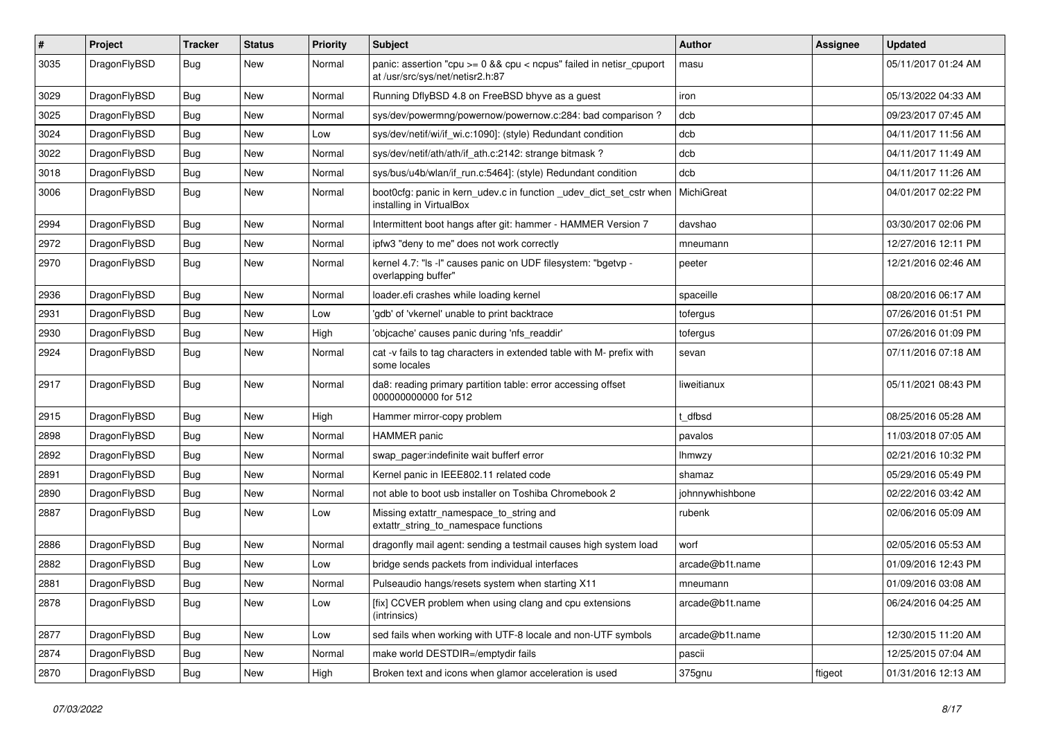| $\vert$ # | Project      | <b>Tracker</b> | <b>Status</b> | <b>Priority</b> | Subject                                                                                                 | Author          | Assignee | <b>Updated</b>      |
|-----------|--------------|----------------|---------------|-----------------|---------------------------------------------------------------------------------------------------------|-----------------|----------|---------------------|
| 3035      | DragonFlyBSD | Bug            | New           | Normal          | panic: assertion "cpu >= 0 && cpu < ncpus" failed in netisr_cpuport<br>at /usr/src/sys/net/netisr2.h:87 | masu            |          | 05/11/2017 01:24 AM |
| 3029      | DragonFlyBSD | <b>Bug</b>     | <b>New</b>    | Normal          | Running DflyBSD 4.8 on FreeBSD bhyve as a guest                                                         | iron            |          | 05/13/2022 04:33 AM |
| 3025      | DragonFlyBSD | Bug            | <b>New</b>    | Normal          | sys/dev/powermng/powernow/powernow.c:284: bad comparison?                                               | dcb             |          | 09/23/2017 07:45 AM |
| 3024      | DragonFlyBSD | Bug            | <b>New</b>    | Low             | sys/dev/netif/wi/if_wi.c:1090]: (style) Redundant condition                                             | dcb             |          | 04/11/2017 11:56 AM |
| 3022      | DragonFlyBSD | <b>Bug</b>     | New           | Normal          | sys/dev/netif/ath/ath/if ath.c:2142: strange bitmask?                                                   | dcb             |          | 04/11/2017 11:49 AM |
| 3018      | DragonFlyBSD | Bug            | <b>New</b>    | Normal          | sys/bus/u4b/wlan/if_run.c:5464]: (style) Redundant condition                                            | dcb             |          | 04/11/2017 11:26 AM |
| 3006      | DragonFlyBSD | Bug            | New           | Normal          | boot0cfg: panic in kern_udev.c in function _udev_dict_set_cstr when<br>installing in VirtualBox         | MichiGreat      |          | 04/01/2017 02:22 PM |
| 2994      | DragonFlyBSD | <b>Bug</b>     | <b>New</b>    | Normal          | Intermittent boot hangs after git: hammer - HAMMER Version 7                                            | davshao         |          | 03/30/2017 02:06 PM |
| 2972      | DragonFlyBSD | <b>Bug</b>     | <b>New</b>    | Normal          | ipfw3 "deny to me" does not work correctly                                                              | mneumann        |          | 12/27/2016 12:11 PM |
| 2970      | DragonFlyBSD | Bug            | New           | Normal          | kernel 4.7: "Is -I" causes panic on UDF filesystem: "bgetvp -<br>overlapping buffer"                    | peeter          |          | 12/21/2016 02:46 AM |
| 2936      | DragonFlyBSD | <b>Bug</b>     | <b>New</b>    | Normal          | loader.efi crashes while loading kernel                                                                 | spaceille       |          | 08/20/2016 06:17 AM |
| 2931      | DragonFlyBSD | Bug            | <b>New</b>    | Low             | 'gdb' of 'vkernel' unable to print backtrace                                                            | tofergus        |          | 07/26/2016 01:51 PM |
| 2930      | DragonFlyBSD | <b>Bug</b>     | <b>New</b>    | High            | 'objcache' causes panic during 'nfs readdir'                                                            | tofergus        |          | 07/26/2016 01:09 PM |
| 2924      | DragonFlyBSD | Bug            | <b>New</b>    | Normal          | cat -v fails to tag characters in extended table with M- prefix with<br>some locales                    | sevan           |          | 07/11/2016 07:18 AM |
| 2917      | DragonFlyBSD | Bug            | <b>New</b>    | Normal          | da8: reading primary partition table: error accessing offset<br>000000000000 for 512                    | liweitianux     |          | 05/11/2021 08:43 PM |
| 2915      | DragonFlyBSD | <b>Bug</b>     | <b>New</b>    | High            | Hammer mirror-copy problem                                                                              | t dfbsd         |          | 08/25/2016 05:28 AM |
| 2898      | DragonFlyBSD | <b>Bug</b>     | New           | Normal          | HAMMER panic                                                                                            | pavalos         |          | 11/03/2018 07:05 AM |
| 2892      | DragonFlyBSD | Bug            | <b>New</b>    | Normal          | swap_pager:indefinite wait bufferf error                                                                | lhmwzy          |          | 02/21/2016 10:32 PM |
| 2891      | DragonFlyBSD | Bug            | <b>New</b>    | Normal          | Kernel panic in IEEE802.11 related code                                                                 | shamaz          |          | 05/29/2016 05:49 PM |
| 2890      | DragonFlyBSD | Bug            | <b>New</b>    | Normal          | not able to boot usb installer on Toshiba Chromebook 2                                                  | johnnywhishbone |          | 02/22/2016 03:42 AM |
| 2887      | DragonFlyBSD | Bug            | New           | Low             | Missing extattr_namespace_to_string and<br>extattr_string_to_namespace functions                        | rubenk          |          | 02/06/2016 05:09 AM |
| 2886      | DragonFlyBSD | Bug            | <b>New</b>    | Normal          | dragonfly mail agent: sending a testmail causes high system load                                        | worf            |          | 02/05/2016 05:53 AM |
| 2882      | DragonFlyBSD | <b>Bug</b>     | <b>New</b>    | Low             | bridge sends packets from individual interfaces                                                         | arcade@b1t.name |          | 01/09/2016 12:43 PM |
| 2881      | DragonFlyBSD | Bug            | New           | Normal          | Pulseaudio hangs/resets system when starting X11                                                        | mneumann        |          | 01/09/2016 03:08 AM |
| 2878      | DragonFlyBSD | Bug            | New           | Low             | [fix] CCVER problem when using clang and cpu extensions<br>(intrinsics)                                 | arcade@b1t.name |          | 06/24/2016 04:25 AM |
| 2877      | DragonFlyBSD | Bug            | New           | Low             | sed fails when working with UTF-8 locale and non-UTF symbols                                            | arcade@b1t.name |          | 12/30/2015 11:20 AM |
| 2874      | DragonFlyBSD | <b>Bug</b>     | New           | Normal          | make world DESTDIR=/emptydir fails                                                                      | pascii          |          | 12/25/2015 07:04 AM |
| 2870      | DragonFlyBSD | <b>Bug</b>     | New           | High            | Broken text and icons when glamor acceleration is used                                                  | 375gnu          | ftigeot  | 01/31/2016 12:13 AM |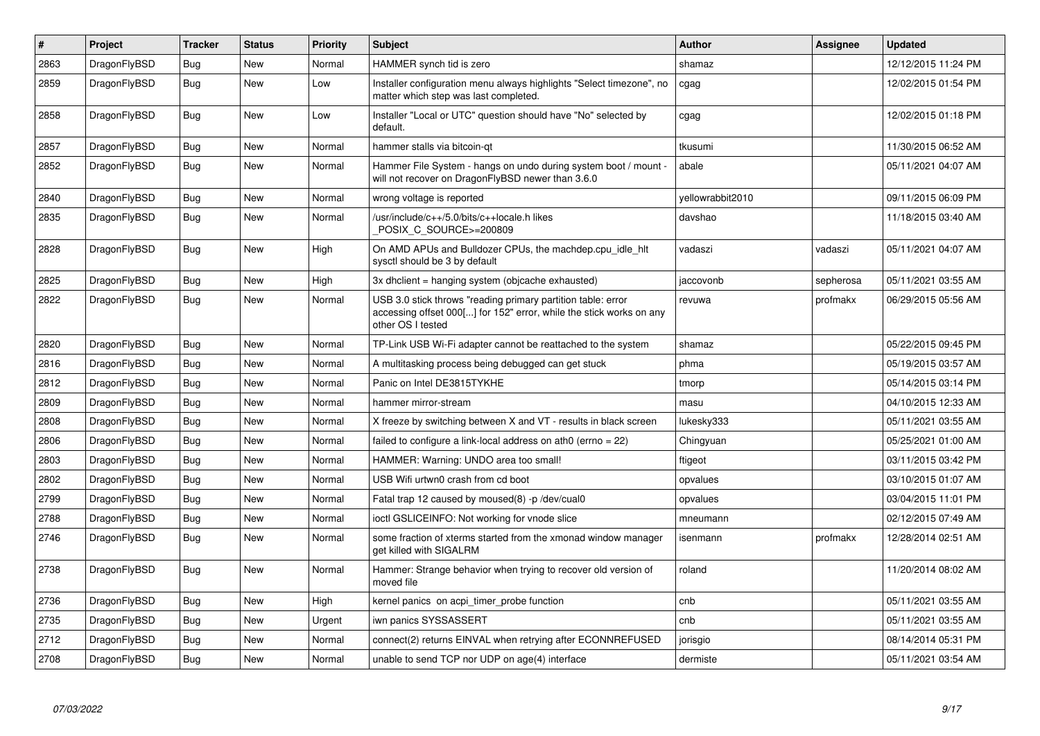| $\vert$ # | Project      | <b>Tracker</b> | <b>Status</b> | <b>Priority</b> | <b>Subject</b>                                                                                                                                           | <b>Author</b>    | Assignee  | <b>Updated</b>      |
|-----------|--------------|----------------|---------------|-----------------|----------------------------------------------------------------------------------------------------------------------------------------------------------|------------------|-----------|---------------------|
| 2863      | DragonFlyBSD | <b>Bug</b>     | <b>New</b>    | Normal          | HAMMER synch tid is zero                                                                                                                                 | shamaz           |           | 12/12/2015 11:24 PM |
| 2859      | DragonFlyBSD | Bug            | <b>New</b>    | Low             | Installer configuration menu always highlights "Select timezone", no<br>matter which step was last completed.                                            | cgag             |           | 12/02/2015 01:54 PM |
| 2858      | DragonFlyBSD | Bug            | New           | Low             | Installer "Local or UTC" question should have "No" selected by<br>default.                                                                               | cgag             |           | 12/02/2015 01:18 PM |
| 2857      | DragonFlyBSD | <b>Bug</b>     | <b>New</b>    | Normal          | hammer stalls via bitcoin-qt                                                                                                                             | tkusumi          |           | 11/30/2015 06:52 AM |
| 2852      | DragonFlyBSD | Bug            | New           | Normal          | Hammer File System - hangs on undo during system boot / mount -<br>will not recover on DragonFlyBSD newer than 3.6.0                                     | abale            |           | 05/11/2021 04:07 AM |
| 2840      | DragonFlyBSD | Bug            | <b>New</b>    | Normal          | wrong voltage is reported                                                                                                                                | yellowrabbit2010 |           | 09/11/2015 06:09 PM |
| 2835      | DragonFlyBSD | <b>Bug</b>     | New           | Normal          | /usr/include/c++/5.0/bits/c++locale.h likes<br>POSIX_C_SOURCE>=200809                                                                                    | davshao          |           | 11/18/2015 03:40 AM |
| 2828      | DragonFlyBSD | <b>Bug</b>     | <b>New</b>    | High            | On AMD APUs and Bulldozer CPUs, the machdep.cpu idle hit<br>sysctl should be 3 by default                                                                | vadaszi          | vadaszi   | 05/11/2021 04:07 AM |
| 2825      | DragonFlyBSD | <b>Bug</b>     | <b>New</b>    | High            | 3x dhclient = hanging system (objcache exhausted)                                                                                                        | jaccovonb        | sepherosa | 05/11/2021 03:55 AM |
| 2822      | DragonFlyBSD | <b>Bug</b>     | New           | Normal          | USB 3.0 stick throws "reading primary partition table: error<br>accessing offset 000[] for 152" error, while the stick works on any<br>other OS I tested | revuwa           | profmakx  | 06/29/2015 05:56 AM |
| 2820      | DragonFlyBSD | Bug            | <b>New</b>    | Normal          | TP-Link USB Wi-Fi adapter cannot be reattached to the system                                                                                             | shamaz           |           | 05/22/2015 09:45 PM |
| 2816      | DragonFlyBSD | <b>Bug</b>     | <b>New</b>    | Normal          | A multitasking process being debugged can get stuck                                                                                                      | phma             |           | 05/19/2015 03:57 AM |
| 2812      | DragonFlyBSD | Bug            | <b>New</b>    | Normal          | Panic on Intel DE3815TYKHE                                                                                                                               | tmorp            |           | 05/14/2015 03:14 PM |
| 2809      | DragonFlyBSD | Bug            | <b>New</b>    | Normal          | hammer mirror-stream                                                                                                                                     | masu             |           | 04/10/2015 12:33 AM |
| 2808      | DragonFlyBSD | Bug            | <b>New</b>    | Normal          | X freeze by switching between X and VT - results in black screen                                                                                         | lukesky333       |           | 05/11/2021 03:55 AM |
| 2806      | DragonFlyBSD | <b>Bug</b>     | <b>New</b>    | Normal          | failed to configure a link-local address on ath $0$ (errno = 22)                                                                                         | Chingyuan        |           | 05/25/2021 01:00 AM |
| 2803      | DragonFlyBSD | Bug            | New           | Normal          | HAMMER: Warning: UNDO area too small!                                                                                                                    | ftigeot          |           | 03/11/2015 03:42 PM |
| 2802      | DragonFlyBSD | <b>Bug</b>     | New           | Normal          | USB Wifi urtwn0 crash from cd boot                                                                                                                       | opvalues         |           | 03/10/2015 01:07 AM |
| 2799      | DragonFlyBSD | Bug            | <b>New</b>    | Normal          | Fatal trap 12 caused by moused(8) -p/dev/cual0                                                                                                           | opvalues         |           | 03/04/2015 11:01 PM |
| 2788      | DragonFlyBSD | <b>Bug</b>     | <b>New</b>    | Normal          | ioctl GSLICEINFO: Not working for vnode slice                                                                                                            | mneumann         |           | 02/12/2015 07:49 AM |
| 2746      | DragonFlyBSD | <b>Bug</b>     | New           | Normal          | some fraction of xterms started from the xmonad window manager<br>get killed with SIGALRM                                                                | isenmann         | profmakx  | 12/28/2014 02:51 AM |
| 2738      | DragonFlyBSD | Bug            | <b>New</b>    | Normal          | Hammer: Strange behavior when trying to recover old version of<br>moved file                                                                             | roland           |           | 11/20/2014 08:02 AM |
| 2736      | DragonFlyBSD | <b>Bug</b>     | <b>New</b>    | High            | kernel panics on acpi_timer_probe function                                                                                                               | cnb              |           | 05/11/2021 03:55 AM |
| 2735      | DragonFlyBSD | Bug            | <b>New</b>    | Urgent          | iwn panics SYSSASSERT                                                                                                                                    | cnb              |           | 05/11/2021 03:55 AM |
| 2712      | DragonFlyBSD | Bug            | <b>New</b>    | Normal          | connect(2) returns EINVAL when retrying after ECONNREFUSED                                                                                               | jorisgio         |           | 08/14/2014 05:31 PM |
| 2708      | DragonFlyBSD | Bug            | <b>New</b>    | Normal          | unable to send TCP nor UDP on age(4) interface                                                                                                           | dermiste         |           | 05/11/2021 03:54 AM |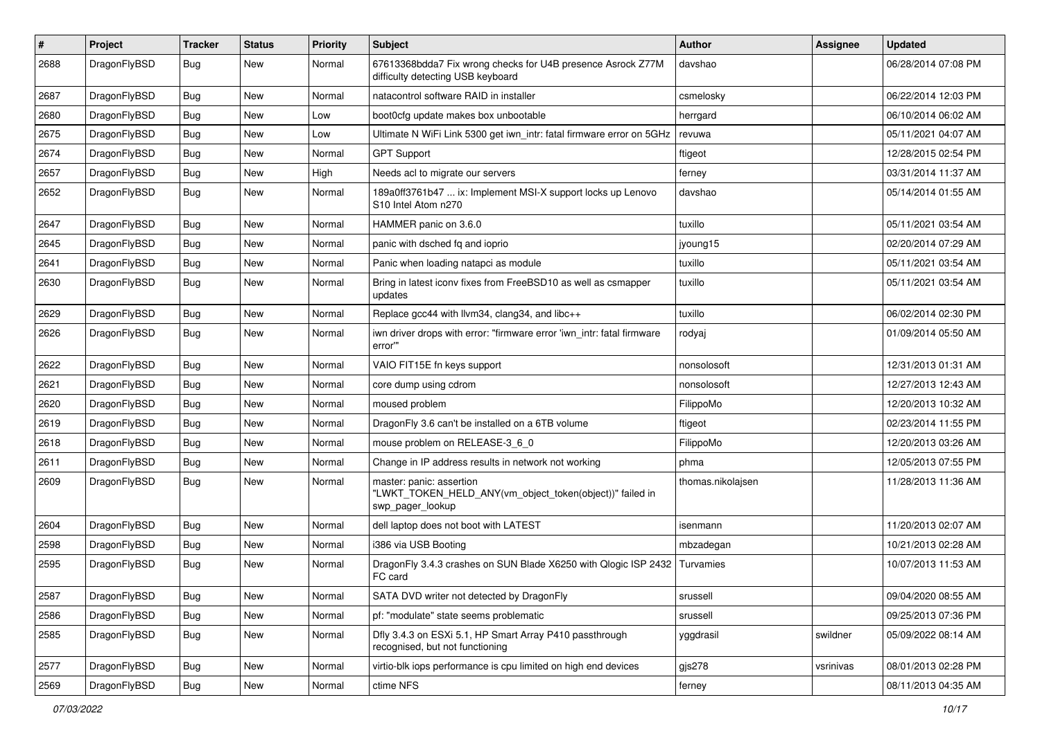| $\sharp$ | Project      | <b>Tracker</b> | <b>Status</b> | <b>Priority</b> | Subject                                                                                                  | Author            | Assignee  | <b>Updated</b>      |
|----------|--------------|----------------|---------------|-----------------|----------------------------------------------------------------------------------------------------------|-------------------|-----------|---------------------|
| 2688     | DragonFlyBSD | Bug            | New           | Normal          | 67613368bdda7 Fix wrong checks for U4B presence Asrock Z77M<br>difficulty detecting USB keyboard         | davshao           |           | 06/28/2014 07:08 PM |
| 2687     | DragonFlyBSD | Bug            | <b>New</b>    | Normal          | natacontrol software RAID in installer                                                                   | csmelosky         |           | 06/22/2014 12:03 PM |
| 2680     | DragonFlyBSD | <b>Bug</b>     | New           | Low             | boot0cfg update makes box unbootable                                                                     | herrgard          |           | 06/10/2014 06:02 AM |
| 2675     | DragonFlyBSD | Bug            | <b>New</b>    | Low             | Ultimate N WiFi Link 5300 get iwn_intr: fatal firmware error on 5GHz                                     | revuwa            |           | 05/11/2021 04:07 AM |
| 2674     | DragonFlyBSD | <b>Bug</b>     | New           | Normal          | <b>GPT Support</b>                                                                                       | ftigeot           |           | 12/28/2015 02:54 PM |
| 2657     | DragonFlyBSD | Bug            | New           | High            | Needs acl to migrate our servers                                                                         | ferney            |           | 03/31/2014 11:37 AM |
| 2652     | DragonFlyBSD | Bug            | <b>New</b>    | Normal          | 189a0ff3761b47  ix: Implement MSI-X support locks up Lenovo<br>S10 Intel Atom n270                       | davshao           |           | 05/14/2014 01:55 AM |
| 2647     | DragonFlyBSD | Bug            | New           | Normal          | HAMMER panic on 3.6.0                                                                                    | tuxillo           |           | 05/11/2021 03:54 AM |
| 2645     | DragonFlyBSD | <b>Bug</b>     | <b>New</b>    | Normal          | panic with dsched fq and ioprio                                                                          | jyoung15          |           | 02/20/2014 07:29 AM |
| 2641     | DragonFlyBSD | <b>Bug</b>     | New           | Normal          | Panic when loading natapci as module                                                                     | tuxillo           |           | 05/11/2021 03:54 AM |
| 2630     | DragonFlyBSD | Bug            | New           | Normal          | Bring in latest iconv fixes from FreeBSD10 as well as csmapper<br>updates                                | tuxillo           |           | 05/11/2021 03:54 AM |
| 2629     | DragonFlyBSD | Bug            | New           | Normal          | Replace gcc44 with llvm34, clang34, and libc++                                                           | tuxillo           |           | 06/02/2014 02:30 PM |
| 2626     | DragonFlyBSD | Bug            | <b>New</b>    | Normal          | iwn driver drops with error: "firmware error 'iwn_intr: fatal firmware<br>error"                         | rodyaj            |           | 01/09/2014 05:50 AM |
| 2622     | DragonFlyBSD | Bug            | New           | Normal          | VAIO FIT15E fn keys support                                                                              | nonsolosoft       |           | 12/31/2013 01:31 AM |
| 2621     | DragonFlyBSD | <b>Bug</b>     | <b>New</b>    | Normal          | core dump using cdrom                                                                                    | nonsolosoft       |           | 12/27/2013 12:43 AM |
| 2620     | DragonFlyBSD | <b>Bug</b>     | New           | Normal          | moused problem                                                                                           | FilippoMo         |           | 12/20/2013 10:32 AM |
| 2619     | DragonFlyBSD | Bug            | <b>New</b>    | Normal          | DragonFly 3.6 can't be installed on a 6TB volume                                                         | ftigeot           |           | 02/23/2014 11:55 PM |
| 2618     | DragonFlyBSD | <b>Bug</b>     | <b>New</b>    | Normal          | mouse problem on RELEASE-3_6_0                                                                           | FilippoMo         |           | 12/20/2013 03:26 AM |
| 2611     | DragonFlyBSD | Bug            | <b>New</b>    | Normal          | Change in IP address results in network not working                                                      | phma              |           | 12/05/2013 07:55 PM |
| 2609     | DragonFlyBSD | Bug            | <b>New</b>    | Normal          | master: panic: assertion<br>"LWKT_TOKEN_HELD_ANY(vm_object_token(object))" failed in<br>swp_pager_lookup | thomas.nikolajsen |           | 11/28/2013 11:36 AM |
| 2604     | DragonFlyBSD | Bug            | <b>New</b>    | Normal          | dell laptop does not boot with LATEST                                                                    | isenmann          |           | 11/20/2013 02:07 AM |
| 2598     | DragonFlyBSD | <b>Bug</b>     | New           | Normal          | i386 via USB Booting                                                                                     | mbzadegan         |           | 10/21/2013 02:28 AM |
| 2595     | DragonFlyBSD | Bug            | New           | Normal          | DragonFly 3.4.3 crashes on SUN Blade X6250 with Qlogic ISP 2432<br>FC card                               | <b>Turvamies</b>  |           | 10/07/2013 11:53 AM |
| 2587     | DragonFlyBSD | <b>Bug</b>     | New           | Normal          | SATA DVD writer not detected by DragonFly                                                                | srussell          |           | 09/04/2020 08:55 AM |
| 2586     | DragonFlyBSD | <b>Bug</b>     | New           | Normal          | pf: "modulate" state seems problematic                                                                   | srussell          |           | 09/25/2013 07:36 PM |
| 2585     | DragonFlyBSD | Bug            | New           | Normal          | Dfly 3.4.3 on ESXi 5.1, HP Smart Array P410 passthrough<br>recognised, but not functioning               | yggdrasil         | swildner  | 05/09/2022 08:14 AM |
| 2577     | DragonFlyBSD | Bug            | <b>New</b>    | Normal          | virtio-blk iops performance is cpu limited on high end devices                                           | $g$ js $278$      | vsrinivas | 08/01/2013 02:28 PM |
| 2569     | DragonFlyBSD | <b>Bug</b>     | New           | Normal          | ctime NFS                                                                                                | ferney            |           | 08/11/2013 04:35 AM |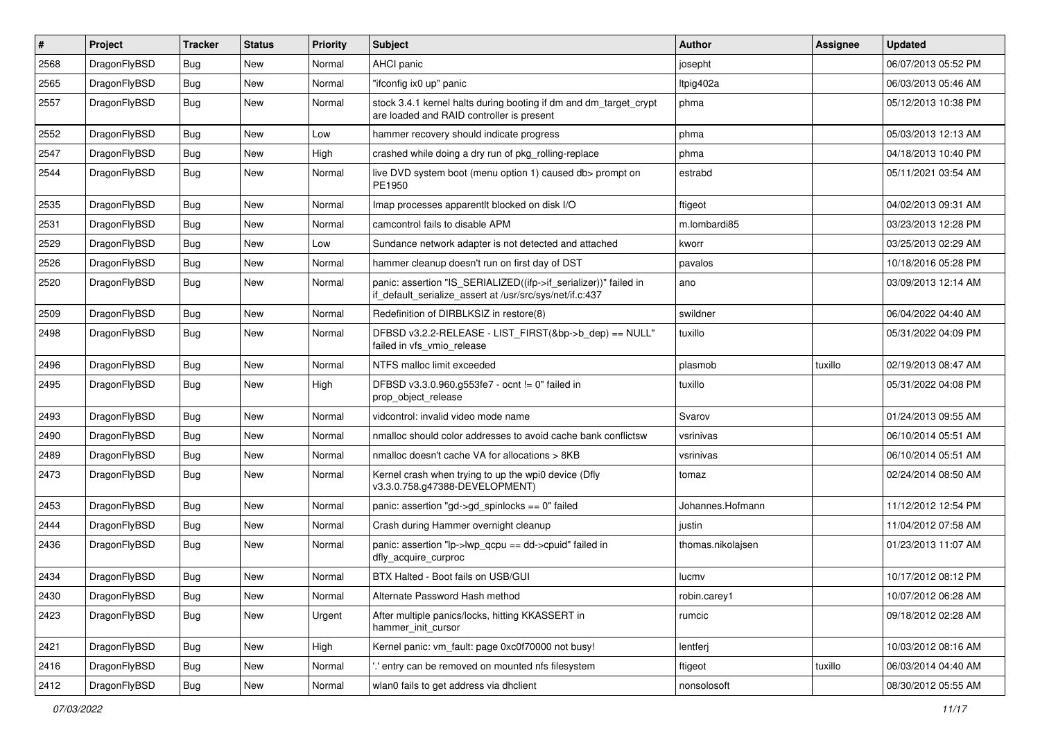| $\vert$ # | Project      | <b>Tracker</b> | <b>Status</b> | <b>Priority</b> | <b>Subject</b>                                                                                                               | Author            | Assignee | <b>Updated</b>      |
|-----------|--------------|----------------|---------------|-----------------|------------------------------------------------------------------------------------------------------------------------------|-------------------|----------|---------------------|
| 2568      | DragonFlyBSD | Bug            | <b>New</b>    | Normal          | AHCI panic                                                                                                                   | josepht           |          | 06/07/2013 05:52 PM |
| 2565      | DragonFlyBSD | <b>Bug</b>     | <b>New</b>    | Normal          | "ifconfig ix0 up" panic                                                                                                      | Itpig402a         |          | 06/03/2013 05:46 AM |
| 2557      | DragonFlyBSD | Bug            | <b>New</b>    | Normal          | stock 3.4.1 kernel halts during booting if dm and dm_target_crypt<br>are loaded and RAID controller is present               | phma              |          | 05/12/2013 10:38 PM |
| 2552      | DragonFlyBSD | Bug            | <b>New</b>    | Low             | hammer recovery should indicate progress                                                                                     | phma              |          | 05/03/2013 12:13 AM |
| 2547      | DragonFlyBSD | <b>Bug</b>     | New           | High            | crashed while doing a dry run of pkg rolling-replace                                                                         | phma              |          | 04/18/2013 10:40 PM |
| 2544      | DragonFlyBSD | Bug            | <b>New</b>    | Normal          | live DVD system boot (menu option 1) caused db> prompt on<br>PE1950                                                          | estrabd           |          | 05/11/2021 03:54 AM |
| 2535      | DragonFlyBSD | Bug            | <b>New</b>    | Normal          | Imap processes apparentlt blocked on disk I/O                                                                                | ftigeot           |          | 04/02/2013 09:31 AM |
| 2531      | DragonFlyBSD | <b>Bug</b>     | <b>New</b>    | Normal          | camcontrol fails to disable APM                                                                                              | m.lombardi85      |          | 03/23/2013 12:28 PM |
| 2529      | DragonFlyBSD | Bug            | <b>New</b>    | Low             | Sundance network adapter is not detected and attached                                                                        | kworr             |          | 03/25/2013 02:29 AM |
| 2526      | DragonFlyBSD | Bug            | <b>New</b>    | Normal          | hammer cleanup doesn't run on first day of DST                                                                               | pavalos           |          | 10/18/2016 05:28 PM |
| 2520      | DragonFlyBSD | Bug            | <b>New</b>    | Normal          | panic: assertion "IS_SERIALIZED((ifp->if_serializer))" failed in<br>if_default_serialize_assert at /usr/src/sys/net/if.c:437 | ano               |          | 03/09/2013 12:14 AM |
| 2509      | DragonFlyBSD | <b>Bug</b>     | <b>New</b>    | Normal          | Redefinition of DIRBLKSIZ in restore(8)                                                                                      | swildner          |          | 06/04/2022 04:40 AM |
| 2498      | DragonFlyBSD | Bug            | <b>New</b>    | Normal          | DFBSD v3.2.2-RELEASE - LIST_FIRST(&bp->b_dep) == NULL"<br>failed in vfs_vmio_release                                         | tuxillo           |          | 05/31/2022 04:09 PM |
| 2496      | DragonFlyBSD | Bug            | New           | Normal          | NTFS malloc limit exceeded                                                                                                   | plasmob           | tuxillo  | 02/19/2013 08:47 AM |
| 2495      | DragonFlyBSD | Bug            | <b>New</b>    | High            | DFBSD v3.3.0.960.g553fe7 - ocnt != 0" failed in<br>prop_object_release                                                       | tuxillo           |          | 05/31/2022 04:08 PM |
| 2493      | DragonFlyBSD | Bug            | <b>New</b>    | Normal          | vidcontrol: invalid video mode name                                                                                          | Svarov            |          | 01/24/2013 09:55 AM |
| 2490      | DragonFlyBSD | Bug            | New           | Normal          | nmalloc should color addresses to avoid cache bank conflictsw                                                                | vsrinivas         |          | 06/10/2014 05:51 AM |
| 2489      | DragonFlyBSD | Bug            | <b>New</b>    | Normal          | nmalloc doesn't cache VA for allocations > 8KB                                                                               | vsrinivas         |          | 06/10/2014 05:51 AM |
| 2473      | DragonFlyBSD | Bug            | New           | Normal          | Kernel crash when trying to up the wpi0 device (Dfly<br>v3.3.0.758.g47388-DEVELOPMENT)                                       | tomaz             |          | 02/24/2014 08:50 AM |
| 2453      | DragonFlyBSD | Bug            | <b>New</b>    | Normal          | panic: assertion "gd->gd_spinlocks == 0" failed                                                                              | Johannes.Hofmann  |          | 11/12/2012 12:54 PM |
| 2444      | DragonFlyBSD | <b>Bug</b>     | <b>New</b>    | Normal          | Crash during Hammer overnight cleanup                                                                                        | justin            |          | 11/04/2012 07:58 AM |
| 2436      | DragonFlyBSD | Bug            | <b>New</b>    | Normal          | panic: assertion "lp->lwp_qcpu == dd->cpuid" failed in<br>dfly_acquire_curproc                                               | thomas.nikolajsen |          | 01/23/2013 11:07 AM |
| 2434      | DragonFlyBSD | <b>Bug</b>     | <b>New</b>    | Normal          | BTX Halted - Boot fails on USB/GUI                                                                                           | lucmv             |          | 10/17/2012 08:12 PM |
| 2430      | DragonFlyBSD | Bug            | New           | Normal          | Alternate Password Hash method                                                                                               | robin.carey1      |          | 10/07/2012 06:28 AM |
| 2423      | DragonFlyBSD | <b>Bug</b>     | New           | Urgent          | After multiple panics/locks, hitting KKASSERT in<br>hammer_init_cursor                                                       | rumcic            |          | 09/18/2012 02:28 AM |
| 2421      | DragonFlyBSD | Bug            | New           | High            | Kernel panic: vm_fault: page 0xc0f70000 not busy!                                                                            | lentferj          |          | 10/03/2012 08:16 AM |
| 2416      | DragonFlyBSD | <b>Bug</b>     | New           | Normal          | 'entry can be removed on mounted nfs filesystem                                                                              | ftigeot           | tuxillo  | 06/03/2014 04:40 AM |
| 2412      | DragonFlyBSD | <b>Bug</b>     | New           | Normal          | wlan0 fails to get address via dhclient                                                                                      | nonsolosoft       |          | 08/30/2012 05:55 AM |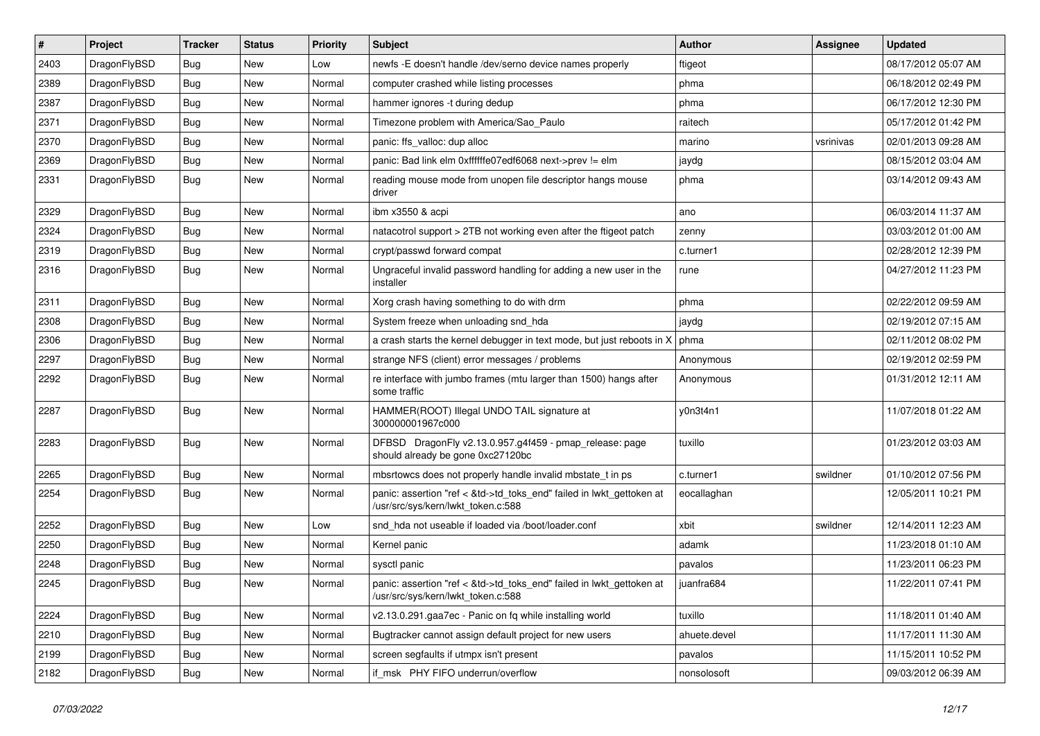| $\sharp$ | Project      | <b>Tracker</b> | <b>Status</b> | <b>Priority</b> | Subject                                                                                                    | Author       | Assignee  | <b>Updated</b>      |
|----------|--------------|----------------|---------------|-----------------|------------------------------------------------------------------------------------------------------------|--------------|-----------|---------------------|
| 2403     | DragonFlyBSD | <b>Bug</b>     | New           | Low             | newfs -E doesn't handle /dev/serno device names properly                                                   | ftigeot      |           | 08/17/2012 05:07 AM |
| 2389     | DragonFlyBSD | Bug            | New           | Normal          | computer crashed while listing processes                                                                   | phma         |           | 06/18/2012 02:49 PM |
| 2387     | DragonFlyBSD | <b>Bug</b>     | New           | Normal          | hammer ignores -t during dedup                                                                             | phma         |           | 06/17/2012 12:30 PM |
| 2371     | DragonFlyBSD | <b>Bug</b>     | New           | Normal          | Timezone problem with America/Sao_Paulo                                                                    | raitech      |           | 05/17/2012 01:42 PM |
| 2370     | DragonFlyBSD | Bug            | <b>New</b>    | Normal          | panic: ffs_valloc: dup alloc                                                                               | marino       | vsrinivas | 02/01/2013 09:28 AM |
| 2369     | DragonFlyBSD | <b>Bug</b>     | <b>New</b>    | Normal          | panic: Bad link elm 0xffffffe07edf6068 next->prev != elm                                                   | jaydg        |           | 08/15/2012 03:04 AM |
| 2331     | DragonFlyBSD | Bug            | New           | Normal          | reading mouse mode from unopen file descriptor hangs mouse<br>driver                                       | phma         |           | 03/14/2012 09:43 AM |
| 2329     | DragonFlyBSD | Bug            | New           | Normal          | ibm x3550 & acpi                                                                                           | ano          |           | 06/03/2014 11:37 AM |
| 2324     | DragonFlyBSD | Bug            | <b>New</b>    | Normal          | natacotrol support > 2TB not working even after the ftigeot patch                                          | zenny        |           | 03/03/2012 01:00 AM |
| 2319     | DragonFlyBSD | Bug            | New           | Normal          | crypt/passwd forward compat                                                                                | c.turner1    |           | 02/28/2012 12:39 PM |
| 2316     | DragonFlyBSD | Bug            | <b>New</b>    | Normal          | Ungraceful invalid password handling for adding a new user in the<br>installer                             | rune         |           | 04/27/2012 11:23 PM |
| 2311     | DragonFlyBSD | Bug            | New           | Normal          | Xorg crash having something to do with drm                                                                 | phma         |           | 02/22/2012 09:59 AM |
| 2308     | DragonFlyBSD | Bug            | New           | Normal          | System freeze when unloading snd_hda                                                                       | jaydg        |           | 02/19/2012 07:15 AM |
| 2306     | DragonFlyBSD | Bug            | New           | Normal          | a crash starts the kernel debugger in text mode, but just reboots in X                                     | phma         |           | 02/11/2012 08:02 PM |
| 2297     | DragonFlyBSD | Bug            | New           | Normal          | strange NFS (client) error messages / problems                                                             | Anonymous    |           | 02/19/2012 02:59 PM |
| 2292     | DragonFlyBSD | Bug            | New           | Normal          | re interface with jumbo frames (mtu larger than 1500) hangs after<br>some traffic                          | Anonymous    |           | 01/31/2012 12:11 AM |
| 2287     | DragonFlyBSD | Bug            | New           | Normal          | HAMMER(ROOT) Illegal UNDO TAIL signature at<br>300000001967c000                                            | y0n3t4n1     |           | 11/07/2018 01:22 AM |
| 2283     | DragonFlyBSD | Bug            | New           | Normal          | DFBSD DragonFly v2.13.0.957.g4f459 - pmap_release: page<br>should already be gone 0xc27120bc               | tuxillo      |           | 01/23/2012 03:03 AM |
| 2265     | DragonFlyBSD | Bug            | New           | Normal          | mbsrtowcs does not properly handle invalid mbstate_t in ps                                                 | c.turner1    | swildner  | 01/10/2012 07:56 PM |
| 2254     | DragonFlyBSD | Bug            | New           | Normal          | panic: assertion "ref < &td->td_toks_end" failed in lwkt_gettoken at<br>/usr/src/sys/kern/lwkt_token.c:588 | eocallaghan  |           | 12/05/2011 10:21 PM |
| 2252     | DragonFlyBSD | Bug            | <b>New</b>    | Low             | snd hda not useable if loaded via /boot/loader.conf                                                        | xbit         | swildner  | 12/14/2011 12:23 AM |
| 2250     | DragonFlyBSD | Bug            | New           | Normal          | Kernel panic                                                                                               | adamk        |           | 11/23/2018 01:10 AM |
| 2248     | DragonFlyBSD | Bug            | <b>New</b>    | Normal          | sysctl panic                                                                                               | pavalos      |           | 11/23/2011 06:23 PM |
| 2245     | DragonFlyBSD | Bug            | <b>New</b>    | Normal          | panic: assertion "ref < &td->td toks end" failed in lwkt gettoken at<br>/usr/src/sys/kern/lwkt_token.c:588 | juanfra684   |           | 11/22/2011 07:41 PM |
| 2224     | DragonFlyBSD | <b>Bug</b>     | <b>New</b>    | Normal          | v2.13.0.291.gaa7ec - Panic on fq while installing world                                                    | tuxillo      |           | 11/18/2011 01:40 AM |
| 2210     | DragonFlyBSD | Bug            | New           | Normal          | Bugtracker cannot assign default project for new users                                                     | ahuete.devel |           | 11/17/2011 11:30 AM |
| 2199     | DragonFlyBSD | <b>Bug</b>     | <b>New</b>    | Normal          | screen segfaults if utmpx isn't present                                                                    | pavalos      |           | 11/15/2011 10:52 PM |
| 2182     | DragonFlyBSD | <b>Bug</b>     | New           | Normal          | if_msk PHY FIFO underrun/overflow                                                                          | nonsolosoft  |           | 09/03/2012 06:39 AM |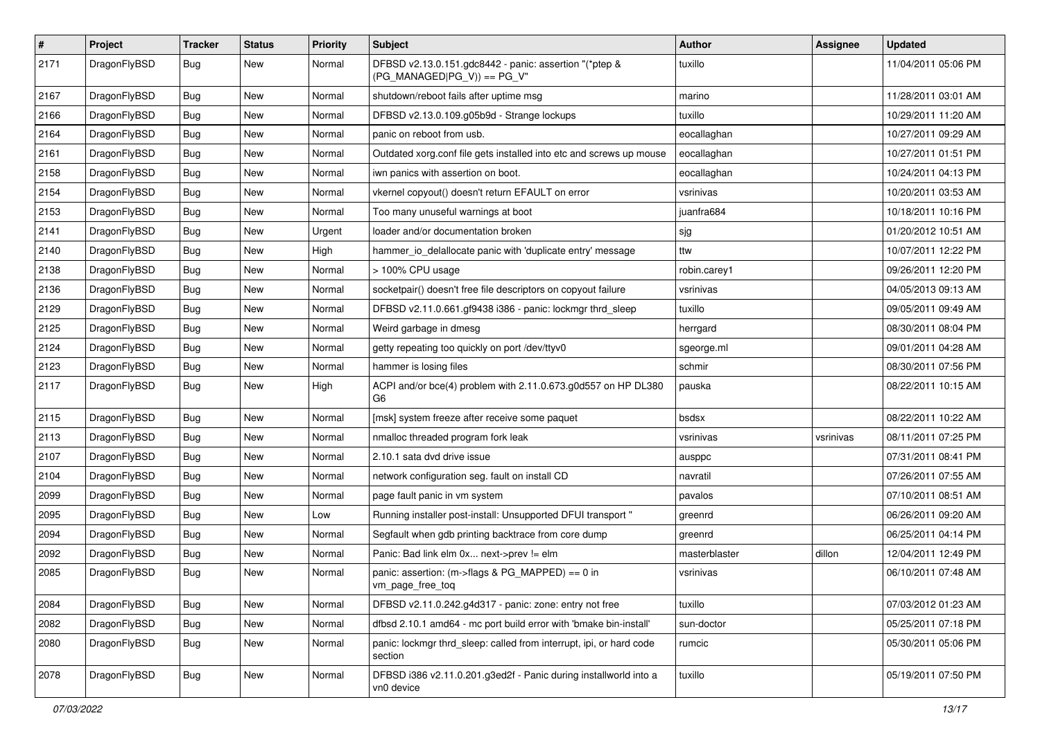| $\sharp$ | Project      | <b>Tracker</b> | <b>Status</b> | <b>Priority</b> | Subject                                                                                | Author        | <b>Assignee</b> | <b>Updated</b>      |
|----------|--------------|----------------|---------------|-----------------|----------------------------------------------------------------------------------------|---------------|-----------------|---------------------|
| 2171     | DragonFlyBSD | Bug            | New           | Normal          | DFBSD v2.13.0.151.gdc8442 - panic: assertion "(*ptep &<br>$(PG_MANAGED PG_V)$ == PG_V" | tuxillo       |                 | 11/04/2011 05:06 PM |
| 2167     | DragonFlyBSD | Bug            | New           | Normal          | shutdown/reboot fails after uptime msg                                                 | marino        |                 | 11/28/2011 03:01 AM |
| 2166     | DragonFlyBSD | Bug            | <b>New</b>    | Normal          | DFBSD v2.13.0.109.g05b9d - Strange lockups                                             | tuxillo       |                 | 10/29/2011 11:20 AM |
| 2164     | DragonFlyBSD | Bug            | New           | Normal          | panic on reboot from usb.                                                              | eocallaghan   |                 | 10/27/2011 09:29 AM |
| 2161     | DragonFlyBSD | Bug            | <b>New</b>    | Normal          | Outdated xorg.conf file gets installed into etc and screws up mouse                    | eocallaghan   |                 | 10/27/2011 01:51 PM |
| 2158     | DragonFlyBSD | Bug            | <b>New</b>    | Normal          | iwn panics with assertion on boot.                                                     | eocallaghan   |                 | 10/24/2011 04:13 PM |
| 2154     | DragonFlyBSD | Bug            | <b>New</b>    | Normal          | vkernel copyout() doesn't return EFAULT on error                                       | vsrinivas     |                 | 10/20/2011 03:53 AM |
| 2153     | DragonFlyBSD | Bug            | New           | Normal          | Too many unuseful warnings at boot                                                     | juanfra684    |                 | 10/18/2011 10:16 PM |
| 2141     | DragonFlyBSD | Bug            | <b>New</b>    | Urgent          | loader and/or documentation broken                                                     | sjg           |                 | 01/20/2012 10:51 AM |
| 2140     | DragonFlyBSD | Bug            | New           | High            | hammer io delallocate panic with 'duplicate entry' message                             | ttw           |                 | 10/07/2011 12:22 PM |
| 2138     | DragonFlyBSD | Bug            | New           | Normal          | > 100% CPU usage                                                                       | robin.carey1  |                 | 09/26/2011 12:20 PM |
| 2136     | DragonFlyBSD | Bug            | <b>New</b>    | Normal          | socketpair() doesn't free file descriptors on copyout failure                          | vsrinivas     |                 | 04/05/2013 09:13 AM |
| 2129     | DragonFlyBSD | <b>Bug</b>     | New           | Normal          | DFBSD v2.11.0.661.gf9438 i386 - panic: lockmgr thrd_sleep                              | tuxillo       |                 | 09/05/2011 09:49 AM |
| 2125     | DragonFlyBSD | Bug            | New           | Normal          | Weird garbage in dmesg                                                                 | herrgard      |                 | 08/30/2011 08:04 PM |
| 2124     | DragonFlyBSD | <b>Bug</b>     | New           | Normal          | getty repeating too quickly on port /dev/ttyv0                                         | sgeorge.ml    |                 | 09/01/2011 04:28 AM |
| 2123     | DragonFlyBSD | <b>Bug</b>     | <b>New</b>    | Normal          | hammer is losing files                                                                 | schmir        |                 | 08/30/2011 07:56 PM |
| 2117     | DragonFlyBSD | Bug            | New           | High            | ACPI and/or bce(4) problem with 2.11.0.673.g0d557 on HP DL380<br>G6                    | pauska        |                 | 08/22/2011 10:15 AM |
| 2115     | DragonFlyBSD | Bug            | <b>New</b>    | Normal          | [msk] system freeze after receive some paquet                                          | bsdsx         |                 | 08/22/2011 10:22 AM |
| 2113     | DragonFlyBSD | <b>Bug</b>     | <b>New</b>    | Normal          | nmalloc threaded program fork leak                                                     | vsrinivas     | vsrinivas       | 08/11/2011 07:25 PM |
| 2107     | DragonFlyBSD | <b>Bug</b>     | New           | Normal          | 2.10.1 sata dvd drive issue                                                            | ausppc        |                 | 07/31/2011 08:41 PM |
| 2104     | DragonFlyBSD | <b>Bug</b>     | New           | Normal          | network configuration seg. fault on install CD                                         | navratil      |                 | 07/26/2011 07:55 AM |
| 2099     | DragonFlyBSD | <b>Bug</b>     | New           | Normal          | page fault panic in vm system                                                          | pavalos       |                 | 07/10/2011 08:51 AM |
| 2095     | DragonFlyBSD | <b>Bug</b>     | <b>New</b>    | Low             | Running installer post-install: Unsupported DFUI transport "                           | greenrd       |                 | 06/26/2011 09:20 AM |
| 2094     | DragonFlyBSD | Bug            | New           | Normal          | Segfault when gdb printing backtrace from core dump                                    | greenrd       |                 | 06/25/2011 04:14 PM |
| 2092     | DragonFlyBSD | <b>Bug</b>     | New           | Normal          | Panic: Bad link elm 0x next->prev != elm                                               | masterblaster | dillon          | 12/04/2011 12:49 PM |
| 2085     | DragonFlyBSD | Bug            | New           | Normal          | panic: assertion: (m->flags & PG_MAPPED) == 0 in<br>vm_page_free_toq                   | vsrinivas     |                 | 06/10/2011 07:48 AM |
| 2084     | DragonFlyBSD | Bug            | New           | Normal          | DFBSD v2.11.0.242.g4d317 - panic: zone: entry not free                                 | tuxillo       |                 | 07/03/2012 01:23 AM |
| 2082     | DragonFlyBSD | Bug            | <b>New</b>    | Normal          | dfbsd 2.10.1 amd64 - mc port build error with 'bmake bin-install'                      | sun-doctor    |                 | 05/25/2011 07:18 PM |
| 2080     | DragonFlyBSD | <b>Bug</b>     | New           | Normal          | panic: lockmgr thrd_sleep: called from interrupt, ipi, or hard code<br>section         | rumcic        |                 | 05/30/2011 05:06 PM |
| 2078     | DragonFlyBSD | <b>Bug</b>     | New           | Normal          | DFBSD i386 v2.11.0.201.g3ed2f - Panic during installworld into a<br>vn0 device         | tuxillo       |                 | 05/19/2011 07:50 PM |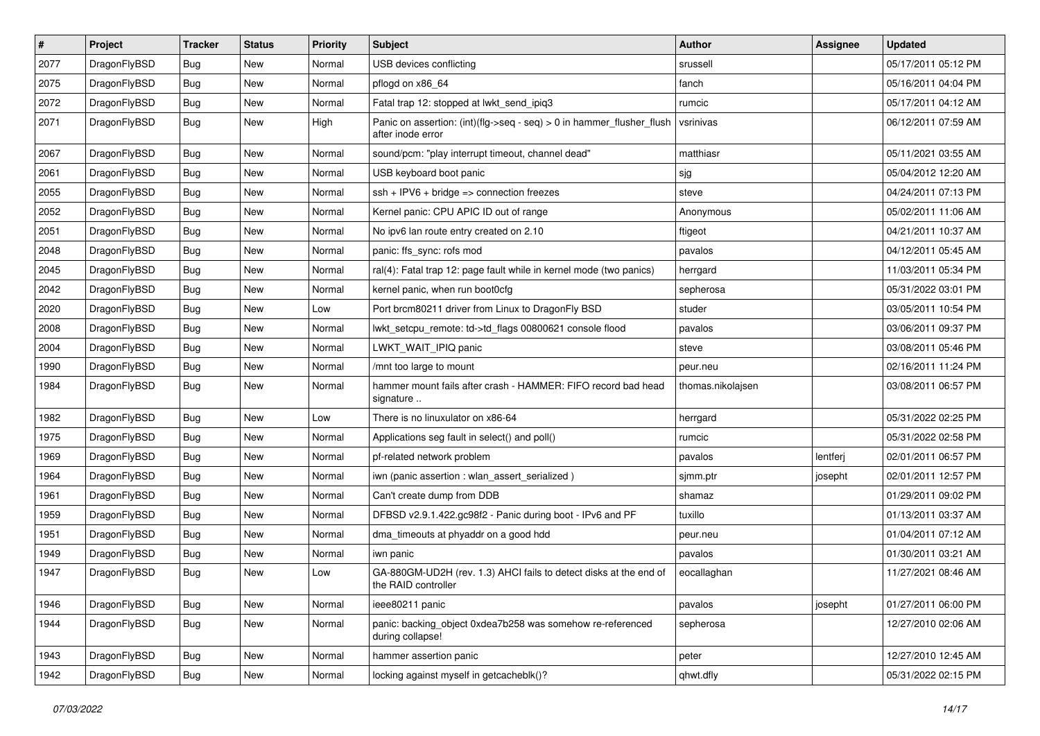| $\vert$ # | Project      | <b>Tracker</b> | <b>Status</b> | <b>Priority</b> | <b>Subject</b>                                                                                | Author            | Assignee | <b>Updated</b>      |
|-----------|--------------|----------------|---------------|-----------------|-----------------------------------------------------------------------------------------------|-------------------|----------|---------------------|
| 2077      | DragonFlyBSD | <b>Bug</b>     | <b>New</b>    | Normal          | USB devices conflicting                                                                       | srussell          |          | 05/17/2011 05:12 PM |
| 2075      | DragonFlyBSD | <b>Bug</b>     | <b>New</b>    | Normal          | pflogd on x86 64                                                                              | fanch             |          | 05/16/2011 04:04 PM |
| 2072      | DragonFlyBSD | Bug            | <b>New</b>    | Normal          | Fatal trap 12: stopped at lwkt_send_ipiq3                                                     | rumcic            |          | 05/17/2011 04:12 AM |
| 2071      | DragonFlyBSD | Bug            | New           | High            | Panic on assertion: $(int)(flag->seq - seq) > 0$ in hammer flusher flush<br>after inode error | vsrinivas         |          | 06/12/2011 07:59 AM |
| 2067      | DragonFlyBSD | <b>Bug</b>     | New           | Normal          | sound/pcm: "play interrupt timeout, channel dead"                                             | matthiasr         |          | 05/11/2021 03:55 AM |
| 2061      | DragonFlyBSD | Bug            | <b>New</b>    | Normal          | USB keyboard boot panic                                                                       | sjg               |          | 05/04/2012 12:20 AM |
| 2055      | DragonFlyBSD | <b>Bug</b>     | <b>New</b>    | Normal          | $ssh + IPV6 + bridge \Rightarrow connection freezes$                                          | steve             |          | 04/24/2011 07:13 PM |
| 2052      | DragonFlyBSD | Bug            | <b>New</b>    | Normal          | Kernel panic: CPU APIC ID out of range                                                        | Anonymous         |          | 05/02/2011 11:06 AM |
| 2051      | DragonFlyBSD | Bug            | <b>New</b>    | Normal          | No ipv6 lan route entry created on 2.10                                                       | ftigeot           |          | 04/21/2011 10:37 AM |
| 2048      | DragonFlyBSD | <b>Bug</b>     | <b>New</b>    | Normal          | panic: ffs_sync: rofs mod                                                                     | pavalos           |          | 04/12/2011 05:45 AM |
| 2045      | DragonFlyBSD | Bug            | <b>New</b>    | Normal          | ral(4): Fatal trap 12: page fault while in kernel mode (two panics)                           | herrgard          |          | 11/03/2011 05:34 PM |
| 2042      | DragonFlyBSD | <b>Bug</b>     | <b>New</b>    | Normal          | kernel panic, when run boot0cfg                                                               | sepherosa         |          | 05/31/2022 03:01 PM |
| 2020      | DragonFlyBSD | <b>Bug</b>     | New           | Low             | Port brcm80211 driver from Linux to DragonFly BSD                                             | studer            |          | 03/05/2011 10:54 PM |
| 2008      | DragonFlyBSD | <b>Bug</b>     | <b>New</b>    | Normal          | lwkt_setcpu_remote: td->td_flags 00800621 console flood                                       | pavalos           |          | 03/06/2011 09:37 PM |
| 2004      | DragonFlyBSD | <b>Bug</b>     | New           | Normal          | LWKT WAIT IPIQ panic                                                                          | steve             |          | 03/08/2011 05:46 PM |
| 1990      | DragonFlyBSD | Bug            | New           | Normal          | /mnt too large to mount                                                                       | peur.neu          |          | 02/16/2011 11:24 PM |
| 1984      | DragonFlyBSD | <b>Bug</b>     | <b>New</b>    | Normal          | hammer mount fails after crash - HAMMER: FIFO record bad head<br>signature                    | thomas.nikolajsen |          | 03/08/2011 06:57 PM |
| 1982      | DragonFlyBSD | Bug            | <b>New</b>    | Low             | There is no linuxulator on x86-64                                                             | herrgard          |          | 05/31/2022 02:25 PM |
| 1975      | DragonFlyBSD | <b>Bug</b>     | <b>New</b>    | Normal          | Applications seg fault in select() and poll()                                                 | rumcic            |          | 05/31/2022 02:58 PM |
| 1969      | DragonFlyBSD | <b>Bug</b>     | <b>New</b>    | Normal          | pf-related network problem                                                                    | pavalos           | lentferj | 02/01/2011 06:57 PM |
| 1964      | DragonFlyBSD | <b>Bug</b>     | <b>New</b>    | Normal          | iwn (panic assertion : wlan assert serialized)                                                | sjmm.ptr          | josepht  | 02/01/2011 12:57 PM |
| 1961      | DragonFlyBSD | Bug            | <b>New</b>    | Normal          | Can't create dump from DDB                                                                    | shamaz            |          | 01/29/2011 09:02 PM |
| 1959      | DragonFlyBSD | Bug            | New           | Normal          | DFBSD v2.9.1.422.gc98f2 - Panic during boot - IPv6 and PF                                     | tuxillo           |          | 01/13/2011 03:37 AM |
| 1951      | DragonFlyBSD | <b>Bug</b>     | <b>New</b>    | Normal          | dma_timeouts at phyaddr on a good hdd                                                         | peur.neu          |          | 01/04/2011 07:12 AM |
| 1949      | DragonFlyBSD | Bug            | New           | Normal          | iwn panic                                                                                     | pavalos           |          | 01/30/2011 03:21 AM |
| 1947      | DragonFlyBSD | Bug            | <b>New</b>    | Low             | GA-880GM-UD2H (rev. 1.3) AHCI fails to detect disks at the end of<br>the RAID controller      | eocallaghan       |          | 11/27/2021 08:46 AM |
| 1946      | DragonFlyBSD | Bug            | New           | Normal          | ieee80211 panic                                                                               | pavalos           | josepht  | 01/27/2011 06:00 PM |
| 1944      | DragonFlyBSD | <b>Bug</b>     | New           | Normal          | panic: backing_object 0xdea7b258 was somehow re-referenced<br>during collapse!                | sepherosa         |          | 12/27/2010 02:06 AM |
| 1943      | DragonFlyBSD | Bug            | New           | Normal          | hammer assertion panic                                                                        | peter             |          | 12/27/2010 12:45 AM |
| 1942      | DragonFlyBSD | <b>Bug</b>     | New           | Normal          | locking against myself in getcacheblk()?                                                      | qhwt.dfly         |          | 05/31/2022 02:15 PM |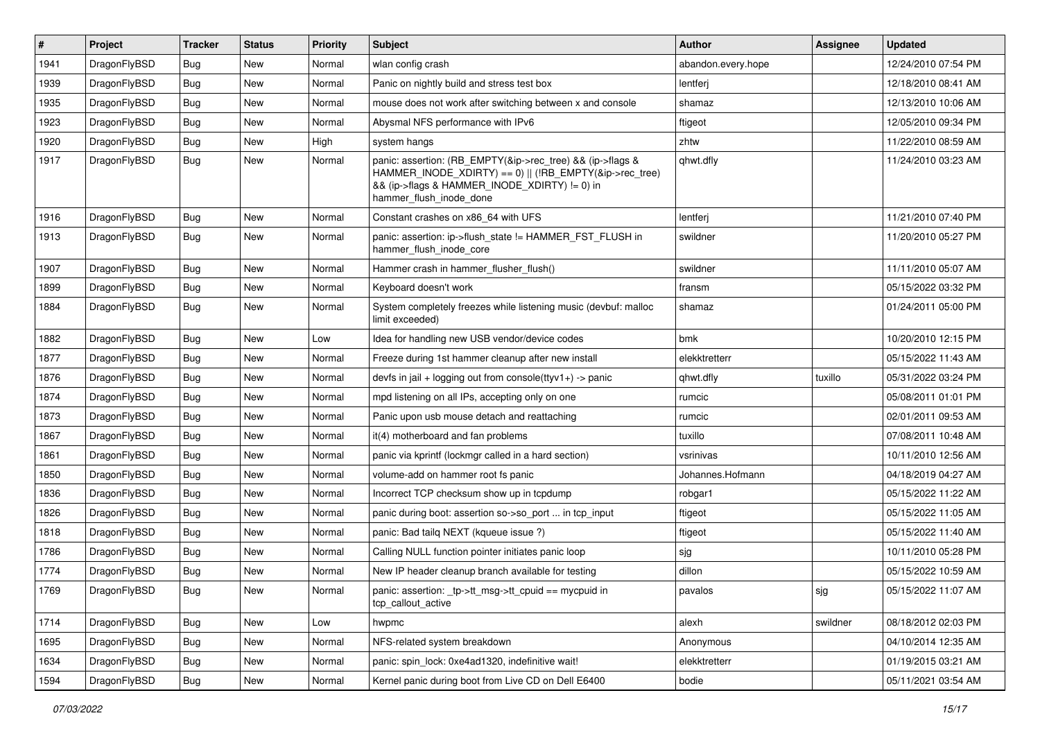| $\pmb{\#}$ | Project      | <b>Tracker</b> | <b>Status</b> | <b>Priority</b> | <b>Subject</b>                                                                                                                                                                                    | <b>Author</b>      | <b>Assignee</b> | <b>Updated</b>      |
|------------|--------------|----------------|---------------|-----------------|---------------------------------------------------------------------------------------------------------------------------------------------------------------------------------------------------|--------------------|-----------------|---------------------|
| 1941       | DragonFlyBSD | Bug            | <b>New</b>    | Normal          | wlan config crash                                                                                                                                                                                 | abandon.every.hope |                 | 12/24/2010 07:54 PM |
| 1939       | DragonFlyBSD | Bug            | <b>New</b>    | Normal          | Panic on nightly build and stress test box                                                                                                                                                        | lentferj           |                 | 12/18/2010 08:41 AM |
| 1935       | DragonFlyBSD | <b>Bug</b>     | <b>New</b>    | Normal          | mouse does not work after switching between x and console                                                                                                                                         | shamaz             |                 | 12/13/2010 10:06 AM |
| 1923       | DragonFlyBSD | Bug            | <b>New</b>    | Normal          | Abysmal NFS performance with IPv6                                                                                                                                                                 | ftigeot            |                 | 12/05/2010 09:34 PM |
| 1920       | DragonFlyBSD | Bug            | <b>New</b>    | High            | system hangs                                                                                                                                                                                      | zhtw               |                 | 11/22/2010 08:59 AM |
| 1917       | DragonFlyBSD | Bug            | <b>New</b>    | Normal          | panic: assertion: (RB_EMPTY(&ip->rec_tree) && (ip->flags &<br>HAMMER_INODE_XDIRTY) == 0)    (!RB_EMPTY(&ip->rec_tree)<br>&& (ip->flags & HAMMER INODE XDIRTY) != 0) in<br>hammer flush inode done | qhwt.dfly          |                 | 11/24/2010 03:23 AM |
| 1916       | DragonFlyBSD | Bug            | <b>New</b>    | Normal          | Constant crashes on x86_64 with UFS                                                                                                                                                               | lentferj           |                 | 11/21/2010 07:40 PM |
| 1913       | DragonFlyBSD | Bug            | <b>New</b>    | Normal          | panic: assertion: ip->flush_state != HAMMER_FST_FLUSH in<br>hammer flush inode core                                                                                                               | swildner           |                 | 11/20/2010 05:27 PM |
| 1907       | DragonFlyBSD | <b>Bug</b>     | <b>New</b>    | Normal          | Hammer crash in hammer_flusher_flush()                                                                                                                                                            | swildner           |                 | 11/11/2010 05:07 AM |
| 1899       | DragonFlyBSD | <b>Bug</b>     | <b>New</b>    | Normal          | Keyboard doesn't work                                                                                                                                                                             | fransm             |                 | 05/15/2022 03:32 PM |
| 1884       | DragonFlyBSD | Bug            | <b>New</b>    | Normal          | System completely freezes while listening music (devbuf: malloc<br>limit exceeded)                                                                                                                | shamaz             |                 | 01/24/2011 05:00 PM |
| 1882       | DragonFlyBSD | Bug            | <b>New</b>    | Low             | Idea for handling new USB vendor/device codes                                                                                                                                                     | bmk                |                 | 10/20/2010 12:15 PM |
| 1877       | DragonFlyBSD | <b>Bug</b>     | <b>New</b>    | Normal          | Freeze during 1st hammer cleanup after new install                                                                                                                                                | elekktretterr      |                 | 05/15/2022 11:43 AM |
| 1876       | DragonFlyBSD | <b>Bug</b>     | <b>New</b>    | Normal          | devfs in jail + logging out from console(ttyv1+) -> panic                                                                                                                                         | qhwt.dfly          | tuxillo         | 05/31/2022 03:24 PM |
| 1874       | DragonFlyBSD | Bug            | <b>New</b>    | Normal          | mpd listening on all IPs, accepting only on one                                                                                                                                                   | rumcic             |                 | 05/08/2011 01:01 PM |
| 1873       | DragonFlyBSD | <b>Bug</b>     | <b>New</b>    | Normal          | Panic upon usb mouse detach and reattaching                                                                                                                                                       | rumcic             |                 | 02/01/2011 09:53 AM |
| 1867       | DragonFlyBSD | <b>Bug</b>     | <b>New</b>    | Normal          | it(4) motherboard and fan problems                                                                                                                                                                | tuxillo            |                 | 07/08/2011 10:48 AM |
| 1861       | DragonFlyBSD | Bug            | <b>New</b>    | Normal          | panic via kprintf (lockmgr called in a hard section)                                                                                                                                              | vsrinivas          |                 | 10/11/2010 12:56 AM |
| 1850       | DragonFlyBSD | <b>Bug</b>     | <b>New</b>    | Normal          | volume-add on hammer root fs panic                                                                                                                                                                | Johannes.Hofmann   |                 | 04/18/2019 04:27 AM |
| 1836       | DragonFlyBSD | Bug            | <b>New</b>    | Normal          | Incorrect TCP checksum show up in tcpdump                                                                                                                                                         | robgar1            |                 | 05/15/2022 11:22 AM |
| 1826       | DragonFlyBSD | Bug            | <b>New</b>    | Normal          | panic during boot: assertion so->so_port  in tcp_input                                                                                                                                            | ftigeot            |                 | 05/15/2022 11:05 AM |
| 1818       | DragonFlyBSD | <b>Bug</b>     | <b>New</b>    | Normal          | panic: Bad tailg NEXT (kqueue issue ?)                                                                                                                                                            | ftigeot            |                 | 05/15/2022 11:40 AM |
| 1786       | DragonFlyBSD | Bug            | <b>New</b>    | Normal          | Calling NULL function pointer initiates panic loop                                                                                                                                                | sjg                |                 | 10/11/2010 05:28 PM |
| 1774       | DragonFlyBSD | <b>Bug</b>     | New           | Normal          | New IP header cleanup branch available for testing                                                                                                                                                | dillon             |                 | 05/15/2022 10:59 AM |
| 1769       | DragonFlyBSD | <b>Bug</b>     | New           | Normal          | panic: assertion: _tp->tt_msg->tt_cpuid == mycpuid in<br>tcp_callout_active                                                                                                                       | pavalos            | sjg             | 05/15/2022 11:07 AM |
| 1714       | DragonFlyBSD | Bug            | New           | Low             | hwpmc                                                                                                                                                                                             | alexh              | swildner        | 08/18/2012 02:03 PM |
| 1695       | DragonFlyBSD | <b>Bug</b>     | New           | Normal          | NFS-related system breakdown                                                                                                                                                                      | Anonymous          |                 | 04/10/2014 12:35 AM |
| 1634       | DragonFlyBSD | <b>Bug</b>     | New           | Normal          | panic: spin lock: 0xe4ad1320, indefinitive wait!                                                                                                                                                  | elekktretterr      |                 | 01/19/2015 03:21 AM |
| 1594       | DragonFlyBSD | Bug            | New           | Normal          | Kernel panic during boot from Live CD on Dell E6400                                                                                                                                               | bodie              |                 | 05/11/2021 03:54 AM |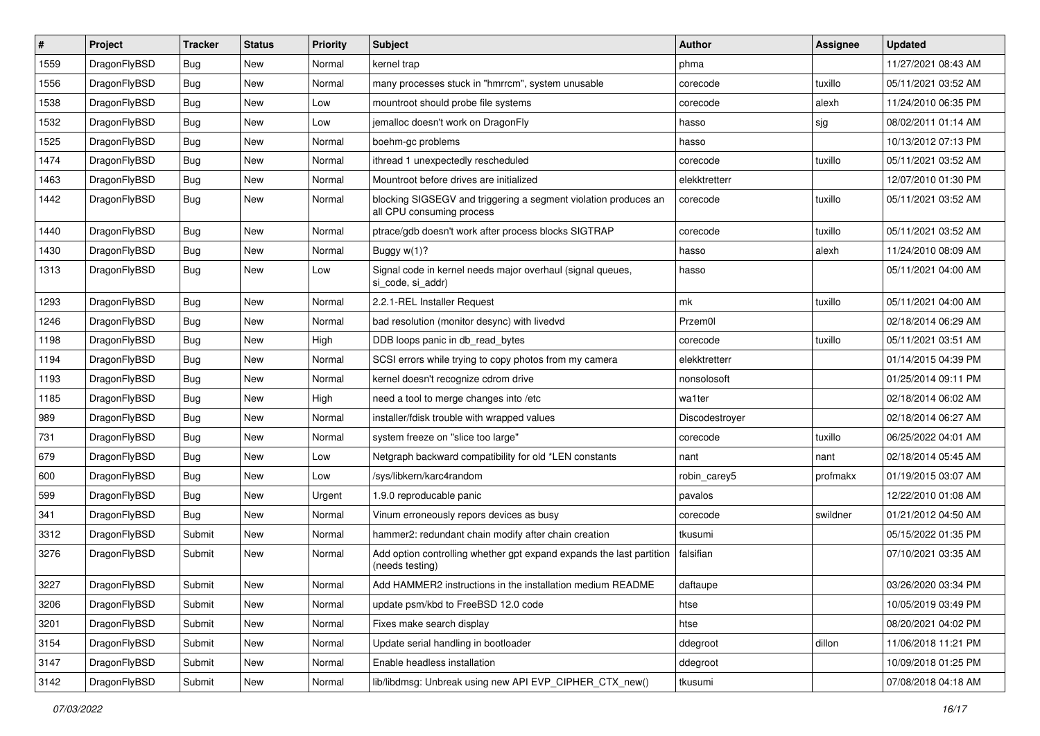| $\sharp$ | Project      | <b>Tracker</b> | <b>Status</b> | <b>Priority</b> | Subject                                                                                      | <b>Author</b>  | Assignee | <b>Updated</b>      |
|----------|--------------|----------------|---------------|-----------------|----------------------------------------------------------------------------------------------|----------------|----------|---------------------|
| 1559     | DragonFlyBSD | Bug            | New           | Normal          | kernel trap                                                                                  | phma           |          | 11/27/2021 08:43 AM |
| 1556     | DragonFlyBSD | <b>Bug</b>     | New           | Normal          | many processes stuck in "hmrrcm", system unusable                                            | corecode       | tuxillo  | 05/11/2021 03:52 AM |
| 1538     | DragonFlyBSD | <b>Bug</b>     | New           | Low             | mountroot should probe file systems                                                          | corecode       | alexh    | 11/24/2010 06:35 PM |
| 1532     | DragonFlyBSD | <b>Bug</b>     | <b>New</b>    | Low             | jemalloc doesn't work on DragonFly                                                           | hasso          | sjg      | 08/02/2011 01:14 AM |
| 1525     | DragonFlyBSD | <b>Bug</b>     | <b>New</b>    | Normal          | boehm-gc problems                                                                            | hasso          |          | 10/13/2012 07:13 PM |
| 1474     | DragonFlyBSD | <b>Bug</b>     | <b>New</b>    | Normal          | ithread 1 unexpectedly rescheduled                                                           | corecode       | tuxillo  | 05/11/2021 03:52 AM |
| 1463     | DragonFlyBSD | <b>Bug</b>     | New           | Normal          | Mountroot before drives are initialized                                                      | elekktretterr  |          | 12/07/2010 01:30 PM |
| 1442     | DragonFlyBSD | <b>Bug</b>     | <b>New</b>    | Normal          | blocking SIGSEGV and triggering a segment violation produces an<br>all CPU consuming process | corecode       | tuxillo  | 05/11/2021 03:52 AM |
| 1440     | DragonFlyBSD | <b>Bug</b>     | <b>New</b>    | Normal          | ptrace/gdb doesn't work after process blocks SIGTRAP                                         | corecode       | tuxillo  | 05/11/2021 03:52 AM |
| 1430     | DragonFlyBSD | <b>Bug</b>     | New           | Normal          | Buggy $w(1)$ ?                                                                               | hasso          | alexh    | 11/24/2010 08:09 AM |
| 1313     | DragonFlyBSD | <b>Bug</b>     | <b>New</b>    | Low             | Signal code in kernel needs major overhaul (signal queues,<br>si code, si addr)              | hasso          |          | 05/11/2021 04:00 AM |
| 1293     | DragonFlyBSD | <b>Bug</b>     | New           | Normal          | 2.2.1-REL Installer Request                                                                  | mk             | tuxillo  | 05/11/2021 04:00 AM |
| 1246     | DragonFlyBSD | <b>Bug</b>     | New           | Normal          | bad resolution (monitor desync) with livedvd                                                 | Przem0l        |          | 02/18/2014 06:29 AM |
| 1198     | DragonFlyBSD | <b>Bug</b>     | <b>New</b>    | High            | DDB loops panic in db_read_bytes                                                             | corecode       | tuxillo  | 05/11/2021 03:51 AM |
| 1194     | DragonFlyBSD | <b>Bug</b>     | New           | Normal          | SCSI errors while trying to copy photos from my camera                                       | elekktretterr  |          | 01/14/2015 04:39 PM |
| 1193     | DragonFlyBSD | <b>Bug</b>     | New           | Normal          | kernel doesn't recognize cdrom drive                                                         | nonsolosoft    |          | 01/25/2014 09:11 PM |
| 1185     | DragonFlyBSD | <b>Bug</b>     | New           | High            | need a tool to merge changes into /etc                                                       | wa1ter         |          | 02/18/2014 06:02 AM |
| 989      | DragonFlyBSD | <b>Bug</b>     | New           | Normal          | installer/fdisk trouble with wrapped values                                                  | Discodestroyer |          | 02/18/2014 06:27 AM |
| 731      | DragonFlyBSD | <b>Bug</b>     | New           | Normal          | system freeze on "slice too large"                                                           | corecode       | tuxillo  | 06/25/2022 04:01 AM |
| 679      | DragonFlyBSD | <b>Bug</b>     | New           | Low             | Netgraph backward compatibility for old *LEN constants                                       | nant           | nant     | 02/18/2014 05:45 AM |
| 600      | DragonFlyBSD | <b>Bug</b>     | <b>New</b>    | Low             | /sys/libkern/karc4random                                                                     | robin_carey5   | profmakx | 01/19/2015 03:07 AM |
| 599      | DragonFlyBSD | <b>Bug</b>     | New           | Urgent          | 1.9.0 reproducable panic                                                                     | pavalos        |          | 12/22/2010 01:08 AM |
| 341      | DragonFlyBSD | <b>Bug</b>     | <b>New</b>    | Normal          | Vinum erroneously repors devices as busy                                                     | corecode       | swildner | 01/21/2012 04:50 AM |
| 3312     | DragonFlyBSD | Submit         | New           | Normal          | hammer2: redundant chain modify after chain creation                                         | tkusumi        |          | 05/15/2022 01:35 PM |
| 3276     | DragonFlyBSD | Submit         | <b>New</b>    | Normal          | Add option controlling whether gpt expand expands the last partition<br>(needs testing)      | falsifian      |          | 07/10/2021 03:35 AM |
| 3227     | DragonFlyBSD | Submit         | <b>New</b>    | Normal          | Add HAMMER2 instructions in the installation medium README                                   | daftaupe       |          | 03/26/2020 03:34 PM |
| 3206     | DragonFlyBSD | Submit         | <b>New</b>    | Normal          | update psm/kbd to FreeBSD 12.0 code                                                          | htse           |          | 10/05/2019 03:49 PM |
| 3201     | DragonFlyBSD | Submit         | New           | Normal          | Fixes make search display                                                                    | htse           |          | 08/20/2021 04:02 PM |
| 3154     | DragonFlyBSD | Submit         | <b>New</b>    | Normal          | Update serial handling in bootloader                                                         | ddegroot       | dillon   | 11/06/2018 11:21 PM |
| 3147     | DragonFlyBSD | Submit         | New           | Normal          | Enable headless installation                                                                 | ddegroot       |          | 10/09/2018 01:25 PM |
| 3142     | DragonFlyBSD | Submit         | New           | Normal          | lib/libdmsg: Unbreak using new API EVP_CIPHER_CTX_new()                                      | tkusumi        |          | 07/08/2018 04:18 AM |